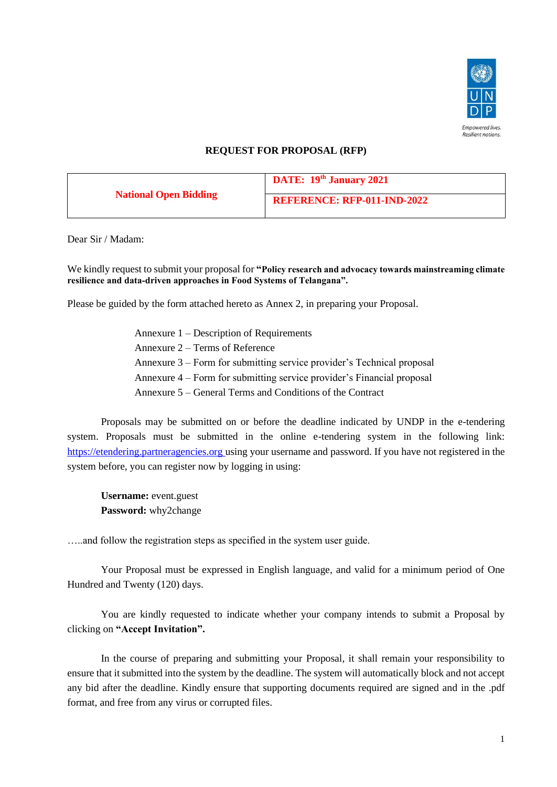

## **REQUEST FOR PROPOSAL (RFP)**

| <b>National Open Bidding</b> | DATE: 19th January 2021            |  |
|------------------------------|------------------------------------|--|
|                              | <b>REFERENCE: RFP-011-IND-2022</b> |  |

Dear Sir / Madam:

We kindly request to submit your proposal for **"Policy research and advocacy towards mainstreaming climate resilience and data-driven approaches in Food Systems of Telangana".**

Please be guided by the form attached hereto as Annex 2, in preparing your Proposal.

Annexure 1 – Description of Requirements Annexure 2 – Terms of Reference Annexure 3 – Form for submitting service provider's Technical proposal Annexure 4 – Form for submitting service provider's Financial proposal Annexure 5 – General Terms and Conditions of the Contract

Proposals may be submitted on or before the deadline indicated by UNDP in the e-tendering system. Proposals must be submitted in the online e-tendering system in the following link: [https://etendering.partneragencies.org](https://etendering.partneragencies.org/) using your username and password. If you have not registered in the system before, you can register now by logging in using:

**Username:** event.guest **Password:** why2change

…..and follow the registration steps as specified in the system user guide.

Your Proposal must be expressed in English language, and valid for a minimum period of One Hundred and Twenty (120) days.

You are kindly requested to indicate whether your company intends to submit a Proposal by clicking on **"Accept Invitation".** 

In the course of preparing and submitting your Proposal, it shall remain your responsibility to ensure that it submitted into the system by the deadline. The system will automatically block and not accept any bid after the deadline. Kindly ensure that supporting documents required are signed and in the .pdf format, and free from any virus or corrupted files.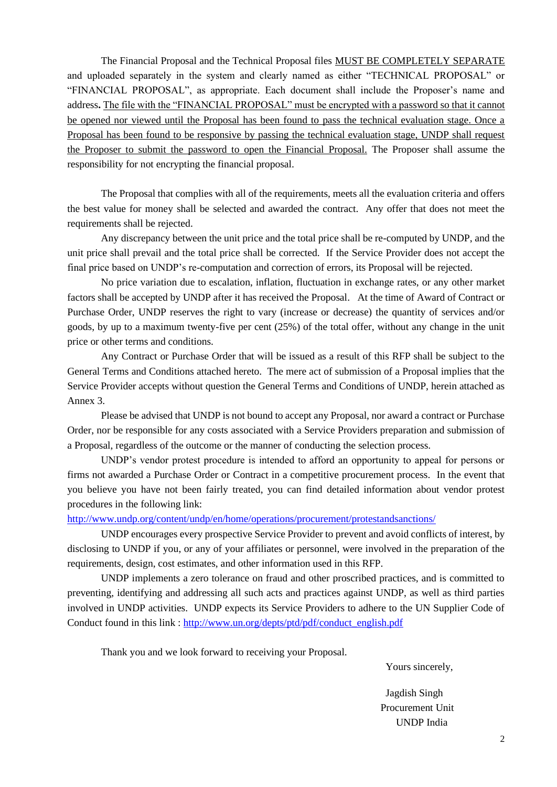The Financial Proposal and the Technical Proposal files MUST BE COMPLETELY SEPARATE and uploaded separately in the system and clearly named as either "TECHNICAL PROPOSAL" or "FINANCIAL PROPOSAL", as appropriate. Each document shall include the Proposer's name and address**.** The file with the "FINANCIAL PROPOSAL" must be encrypted with a password so that it cannot be opened nor viewed until the Proposal has been found to pass the technical evaluation stage. Once a Proposal has been found to be responsive by passing the technical evaluation stage, UNDP shall request the Proposer to submit the password to open the Financial Proposal. The Proposer shall assume the responsibility for not encrypting the financial proposal.

The Proposal that complies with all of the requirements, meets all the evaluation criteria and offers the best value for money shall be selected and awarded the contract. Any offer that does not meet the requirements shall be rejected.

Any discrepancy between the unit price and the total price shall be re-computed by UNDP, and the unit price shall prevail and the total price shall be corrected. If the Service Provider does not accept the final price based on UNDP's re-computation and correction of errors, its Proposal will be rejected.

No price variation due to escalation, inflation, fluctuation in exchange rates, or any other market factors shall be accepted by UNDP after it has received the Proposal. At the time of Award of Contract or Purchase Order, UNDP reserves the right to vary (increase or decrease) the quantity of services and/or goods, by up to a maximum twenty-five per cent (25%) of the total offer, without any change in the unit price or other terms and conditions.

Any Contract or Purchase Order that will be issued as a result of this RFP shall be subject to the General Terms and Conditions attached hereto. The mere act of submission of a Proposal implies that the Service Provider accepts without question the General Terms and Conditions of UNDP, herein attached as Annex 3.

Please be advised that UNDP is not bound to accept any Proposal, nor award a contract or Purchase Order, nor be responsible for any costs associated with a Service Providers preparation and submission of a Proposal, regardless of the outcome or the manner of conducting the selection process.

UNDP's vendor protest procedure is intended to afford an opportunity to appeal for persons or firms not awarded a Purchase Order or Contract in a competitive procurement process. In the event that you believe you have not been fairly treated, you can find detailed information about vendor protest procedures in the following link:

<http://www.undp.org/content/undp/en/home/operations/procurement/protestandsanctions/>

UNDP encourages every prospective Service Provider to prevent and avoid conflicts of interest, by disclosing to UNDP if you, or any of your affiliates or personnel, were involved in the preparation of the requirements, design, cost estimates, and other information used in this RFP.

UNDP implements a zero tolerance on fraud and other proscribed practices, and is committed to preventing, identifying and addressing all such acts and practices against UNDP, as well as third parties involved in UNDP activities. UNDP expects its Service Providers to adhere to the UN Supplier Code of Conduct found in this link : [http://www.un.org/depts/ptd/pdf/conduct\\_english.pdf](http://www.un.org/depts/ptd/pdf/conduct_english.pdf)

Thank you and we look forward to receiving your Proposal.

Yours sincerely,

 Jagdish Singh Procurement Unit UNDP India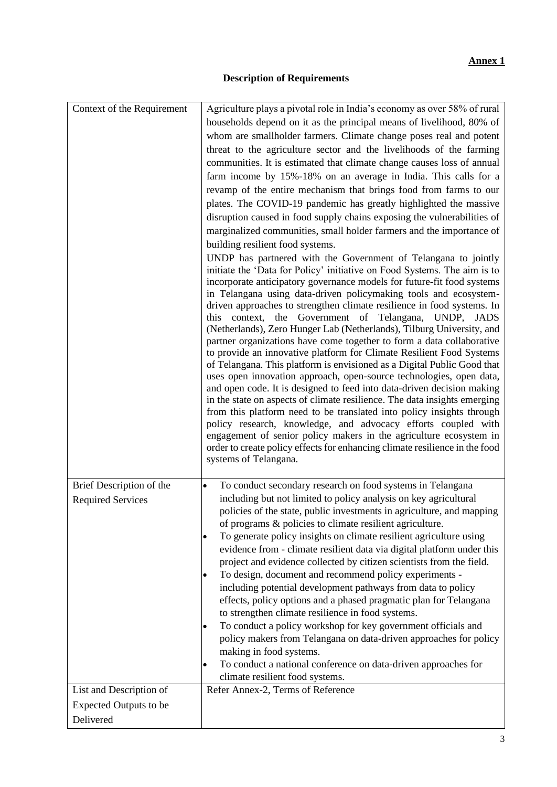# **Description of Requirements**

| Context of the Requirement    | Agriculture plays a pivotal role in India's economy as over 58% of rural                                                                          |
|-------------------------------|---------------------------------------------------------------------------------------------------------------------------------------------------|
|                               | households depend on it as the principal means of livelihood, 80% of                                                                              |
|                               | whom are smallholder farmers. Climate change poses real and potent                                                                                |
|                               | threat to the agriculture sector and the livelihoods of the farming                                                                               |
|                               | communities. It is estimated that climate change causes loss of annual                                                                            |
|                               | farm income by 15%-18% on an average in India. This calls for a                                                                                   |
|                               | revamp of the entire mechanism that brings food from farms to our                                                                                 |
|                               | plates. The COVID-19 pandemic has greatly highlighted the massive                                                                                 |
|                               | disruption caused in food supply chains exposing the vulnerabilities of                                                                           |
|                               | marginalized communities, small holder farmers and the importance of                                                                              |
|                               | building resilient food systems.                                                                                                                  |
|                               | UNDP has partnered with the Government of Telangana to jointly                                                                                    |
|                               | initiate the 'Data for Policy' initiative on Food Systems. The aim is to                                                                          |
|                               | incorporate anticipatory governance models for future-fit food systems                                                                            |
|                               | in Telangana using data-driven policymaking tools and ecosystem-                                                                                  |
|                               | driven approaches to strengthen climate resilience in food systems. In                                                                            |
|                               | this context, the Government of Telangana, UNDP, JADS                                                                                             |
|                               | (Netherlands), Zero Hunger Lab (Netherlands), Tilburg University, and<br>partner organizations have come together to form a data collaborative    |
|                               | to provide an innovative platform for Climate Resilient Food Systems                                                                              |
|                               | of Telangana. This platform is envisioned as a Digital Public Good that                                                                           |
|                               | uses open innovation approach, open-source technologies, open data,                                                                               |
|                               | and open code. It is designed to feed into data-driven decision making                                                                            |
|                               | in the state on aspects of climate resilience. The data insights emerging                                                                         |
|                               | from this platform need to be translated into policy insights through                                                                             |
|                               | policy research, knowledge, and advocacy efforts coupled with                                                                                     |
|                               | engagement of senior policy makers in the agriculture ecosystem in<br>order to create policy effects for enhancing climate resilience in the food |
|                               | systems of Telangana.                                                                                                                             |
|                               |                                                                                                                                                   |
| Brief Description of the      | To conduct secondary research on food systems in Telangana<br>$\bullet$                                                                           |
| <b>Required Services</b>      | including but not limited to policy analysis on key agricultural                                                                                  |
|                               | policies of the state, public investments in agriculture, and mapping                                                                             |
|                               | of programs & policies to climate resilient agriculture.                                                                                          |
|                               | To generate policy insights on climate resilient agriculture using<br>$\bullet$                                                                   |
|                               | evidence from - climate resilient data via digital platform under this                                                                            |
|                               | project and evidence collected by citizen scientists from the field.                                                                              |
|                               | To design, document and recommend policy experiments -<br>$\bullet$                                                                               |
|                               | including potential development pathways from data to policy                                                                                      |
|                               | effects, policy options and a phased pragmatic plan for Telangana                                                                                 |
|                               | to strengthen climate resilience in food systems.                                                                                                 |
|                               | To conduct a policy workshop for key government officials and<br>$\bullet$                                                                        |
|                               | policy makers from Telangana on data-driven approaches for policy                                                                                 |
|                               | making in food systems.                                                                                                                           |
|                               | To conduct a national conference on data-driven approaches for<br>$\bullet$                                                                       |
| List and Description of       | climate resilient food systems.<br>Refer Annex-2, Terms of Reference                                                                              |
|                               |                                                                                                                                                   |
| <b>Expected Outputs to be</b> |                                                                                                                                                   |
| Delivered                     |                                                                                                                                                   |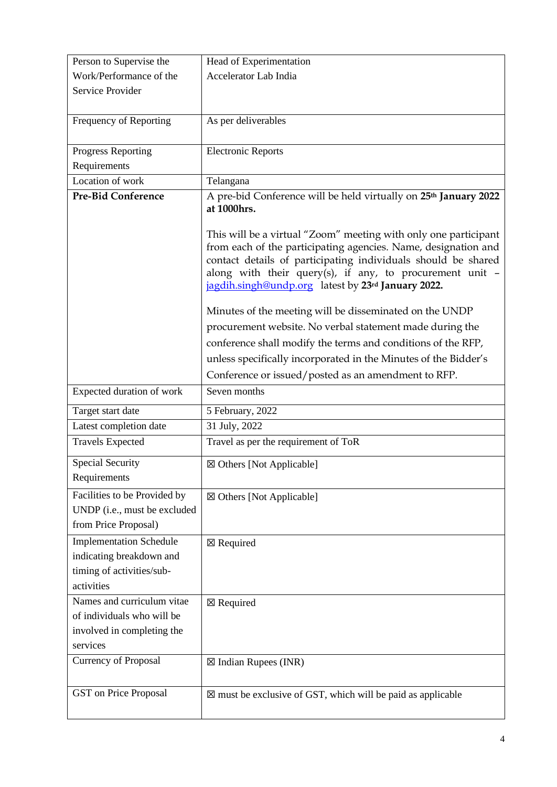| Person to Supervise the                                                                               | Head of Experimentation                                                                                                                                                                                                                                                                                                |
|-------------------------------------------------------------------------------------------------------|------------------------------------------------------------------------------------------------------------------------------------------------------------------------------------------------------------------------------------------------------------------------------------------------------------------------|
| Work/Performance of the                                                                               | Accelerator Lab India                                                                                                                                                                                                                                                                                                  |
| Service Provider                                                                                      |                                                                                                                                                                                                                                                                                                                        |
|                                                                                                       |                                                                                                                                                                                                                                                                                                                        |
| Frequency of Reporting                                                                                | As per deliverables                                                                                                                                                                                                                                                                                                    |
| Progress Reporting                                                                                    | <b>Electronic Reports</b>                                                                                                                                                                                                                                                                                              |
| Requirements                                                                                          |                                                                                                                                                                                                                                                                                                                        |
| Location of work                                                                                      | Telangana                                                                                                                                                                                                                                                                                                              |
| <b>Pre-Bid Conference</b>                                                                             | A pre-bid Conference will be held virtually on 25 <sup>th</sup> January 2022<br>at 1000hrs.                                                                                                                                                                                                                            |
|                                                                                                       | This will be a virtual "Zoom" meeting with only one participant<br>from each of the participating agencies. Name, designation and<br>contact details of participating individuals should be shared<br>along with their query(s), if any, to procurement unit $-$<br>jagdih.singh@undp.org latest by 23rd January 2022. |
|                                                                                                       | Minutes of the meeting will be disseminated on the UNDP                                                                                                                                                                                                                                                                |
|                                                                                                       | procurement website. No verbal statement made during the                                                                                                                                                                                                                                                               |
|                                                                                                       | conference shall modify the terms and conditions of the RFP,                                                                                                                                                                                                                                                           |
|                                                                                                       | unless specifically incorporated in the Minutes of the Bidder's                                                                                                                                                                                                                                                        |
|                                                                                                       | Conference or issued/posted as an amendment to RFP.                                                                                                                                                                                                                                                                    |
|                                                                                                       |                                                                                                                                                                                                                                                                                                                        |
| Expected duration of work                                                                             | Seven months                                                                                                                                                                                                                                                                                                           |
| Target start date                                                                                     | 5 February, 2022                                                                                                                                                                                                                                                                                                       |
| Latest completion date                                                                                | 31 July, 2022                                                                                                                                                                                                                                                                                                          |
| <b>Travels Expected</b>                                                                               | Travel as per the requirement of ToR                                                                                                                                                                                                                                                                                   |
| <b>Special Security</b><br>Requirements                                                               | ⊠ Others [Not Applicable]                                                                                                                                                                                                                                                                                              |
| Facilities to be Provided by<br>UNDP (i.e., must be excluded<br>from Price Proposal)                  | ⊠ Others [Not Applicable]                                                                                                                                                                                                                                                                                              |
| <b>Implementation Schedule</b><br>indicating breakdown and<br>timing of activities/sub-<br>activities | $\boxtimes$ Required                                                                                                                                                                                                                                                                                                   |
| Names and curriculum vitae<br>of individuals who will be<br>involved in completing the<br>services    | $\boxtimes$ Required                                                                                                                                                                                                                                                                                                   |
| <b>Currency of Proposal</b>                                                                           | $\boxtimes$ Indian Rupees (INR)                                                                                                                                                                                                                                                                                        |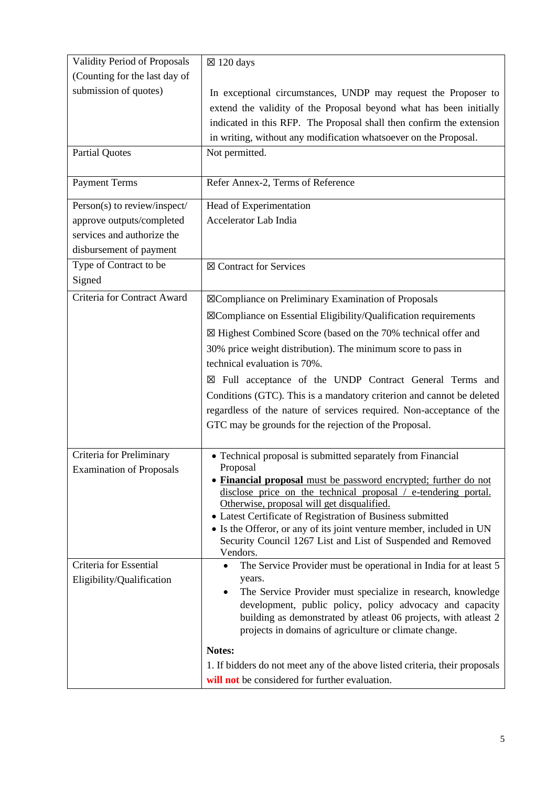| <b>Validity Period of Proposals</b>                         | $\boxtimes$ 120 days                                                                                                                                                                                                                                                                                                                                                                                                                                                         |
|-------------------------------------------------------------|------------------------------------------------------------------------------------------------------------------------------------------------------------------------------------------------------------------------------------------------------------------------------------------------------------------------------------------------------------------------------------------------------------------------------------------------------------------------------|
| (Counting for the last day of                               |                                                                                                                                                                                                                                                                                                                                                                                                                                                                              |
| submission of quotes)                                       | In exceptional circumstances, UNDP may request the Proposer to<br>extend the validity of the Proposal beyond what has been initially<br>indicated in this RFP. The Proposal shall then confirm the extension<br>in writing, without any modification whatsoever on the Proposal.                                                                                                                                                                                             |
| <b>Partial Quotes</b>                                       | Not permitted.                                                                                                                                                                                                                                                                                                                                                                                                                                                               |
| <b>Payment Terms</b>                                        | Refer Annex-2, Terms of Reference                                                                                                                                                                                                                                                                                                                                                                                                                                            |
| Person(s) to review/inspect/                                | Head of Experimentation                                                                                                                                                                                                                                                                                                                                                                                                                                                      |
| approve outputs/completed                                   | Accelerator Lab India                                                                                                                                                                                                                                                                                                                                                                                                                                                        |
| services and authorize the                                  |                                                                                                                                                                                                                                                                                                                                                                                                                                                                              |
| disbursement of payment                                     |                                                                                                                                                                                                                                                                                                                                                                                                                                                                              |
| Type of Contract to be<br>Signed                            | ⊠ Contract for Services                                                                                                                                                                                                                                                                                                                                                                                                                                                      |
| Criteria for Contract Award                                 | ⊠Compliance on Preliminary Examination of Proposals                                                                                                                                                                                                                                                                                                                                                                                                                          |
|                                                             | ⊠Compliance on Essential Eligibility/Qualification requirements                                                                                                                                                                                                                                                                                                                                                                                                              |
|                                                             | ⊠ Highest Combined Score (based on the 70% technical offer and                                                                                                                                                                                                                                                                                                                                                                                                               |
|                                                             | 30% price weight distribution). The minimum score to pass in<br>technical evaluation is 70%.                                                                                                                                                                                                                                                                                                                                                                                 |
|                                                             | Full acceptance of the UNDP Contract General Terms and<br>×                                                                                                                                                                                                                                                                                                                                                                                                                  |
|                                                             | Conditions (GTC). This is a mandatory criterion and cannot be deleted                                                                                                                                                                                                                                                                                                                                                                                                        |
|                                                             | regardless of the nature of services required. Non-acceptance of the                                                                                                                                                                                                                                                                                                                                                                                                         |
|                                                             | GTC may be grounds for the rejection of the Proposal.                                                                                                                                                                                                                                                                                                                                                                                                                        |
| Criteria for Preliminary<br><b>Examination of Proposals</b> | • Technical proposal is submitted separately from Financial<br>Proposal<br>• Financial proposal must be password encrypted; further do not<br>disclose price on the technical proposal / e-tendering portal.<br>Otherwise, proposal will get disqualified.<br>• Latest Certificate of Registration of Business submitted<br>• Is the Offeror, or any of its joint venture member, included in UN<br>Security Council 1267 List and List of Suspended and Removed<br>Vendors. |
| Criteria for Essential                                      | The Service Provider must be operational in India for at least 5                                                                                                                                                                                                                                                                                                                                                                                                             |
| Eligibility/Qualification                                   | years.                                                                                                                                                                                                                                                                                                                                                                                                                                                                       |
|                                                             | The Service Provider must specialize in research, knowledge<br>development, public policy, policy advocacy and capacity<br>building as demonstrated by atleast 06 projects, with atleast 2<br>projects in domains of agriculture or climate change.                                                                                                                                                                                                                          |
|                                                             | Notes:                                                                                                                                                                                                                                                                                                                                                                                                                                                                       |
|                                                             | 1. If bidders do not meet any of the above listed criteria, their proposals                                                                                                                                                                                                                                                                                                                                                                                                  |
|                                                             | will not be considered for further evaluation.                                                                                                                                                                                                                                                                                                                                                                                                                               |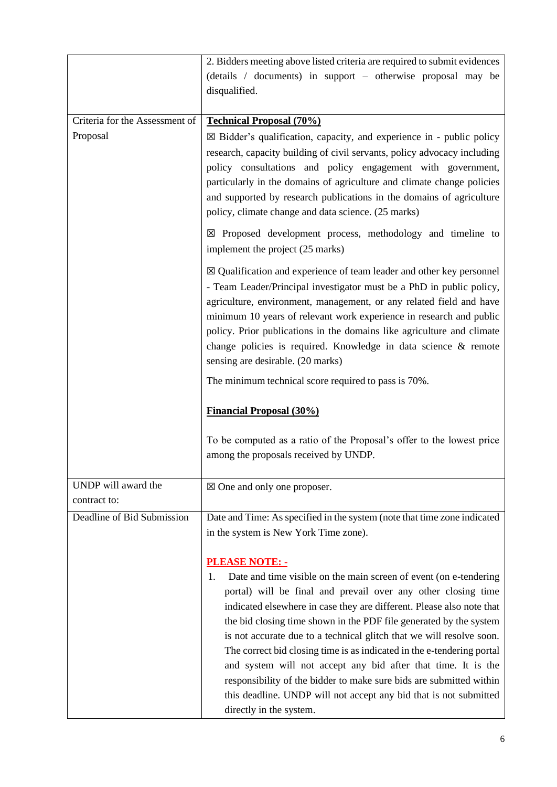|                                | 2. Bidders meeting above listed criteria are required to submit evidences                                                                      |  |  |  |  |  |
|--------------------------------|------------------------------------------------------------------------------------------------------------------------------------------------|--|--|--|--|--|
|                                | (details / documents) in support – otherwise proposal may be                                                                                   |  |  |  |  |  |
|                                | disqualified.                                                                                                                                  |  |  |  |  |  |
|                                |                                                                                                                                                |  |  |  |  |  |
| Criteria for the Assessment of | <b>Technical Proposal (70%)</b>                                                                                                                |  |  |  |  |  |
| Proposal                       | $\boxtimes$ Bidder's qualification, capacity, and experience in - public policy                                                                |  |  |  |  |  |
|                                | research, capacity building of civil servants, policy advocacy including                                                                       |  |  |  |  |  |
|                                | policy consultations and policy engagement with government,                                                                                    |  |  |  |  |  |
|                                | particularly in the domains of agriculture and climate change policies<br>and supported by research publications in the domains of agriculture |  |  |  |  |  |
|                                | policy, climate change and data science. (25 marks)                                                                                            |  |  |  |  |  |
|                                |                                                                                                                                                |  |  |  |  |  |
|                                | $\boxtimes$ Proposed development process, methodology and timeline to<br>implement the project (25 marks)                                      |  |  |  |  |  |
|                                | $\boxtimes$ Qualification and experience of team leader and other key personnel                                                                |  |  |  |  |  |
|                                | - Team Leader/Principal investigator must be a PhD in public policy,<br>agriculture, environment, management, or any related field and have    |  |  |  |  |  |
|                                | minimum 10 years of relevant work experience in research and public                                                                            |  |  |  |  |  |
|                                | policy. Prior publications in the domains like agriculture and climate                                                                         |  |  |  |  |  |
|                                | change policies is required. Knowledge in data science & remote                                                                                |  |  |  |  |  |
|                                | sensing are desirable. (20 marks)                                                                                                              |  |  |  |  |  |
|                                | The minimum technical score required to pass is 70%.                                                                                           |  |  |  |  |  |
|                                | <b>Financial Proposal (30%)</b>                                                                                                                |  |  |  |  |  |
|                                | To be computed as a ratio of the Proposal's offer to the lowest price                                                                          |  |  |  |  |  |
|                                | among the proposals received by UNDP.                                                                                                          |  |  |  |  |  |
| UNDP will award the            |                                                                                                                                                |  |  |  |  |  |
| contract to:                   | $\boxtimes$ One and only one proposer.                                                                                                         |  |  |  |  |  |
| Deadline of Bid Submission     | Date and Time: As specified in the system (note that time zone indicated                                                                       |  |  |  |  |  |
|                                | in the system is New York Time zone).                                                                                                          |  |  |  |  |  |
|                                |                                                                                                                                                |  |  |  |  |  |
|                                | <b>PLEASE NOTE: -</b><br>Date and time visible on the main screen of event (on e-tendering<br>1.                                               |  |  |  |  |  |
|                                | portal) will be final and prevail over any other closing time                                                                                  |  |  |  |  |  |
|                                | indicated elsewhere in case they are different. Please also note that                                                                          |  |  |  |  |  |
|                                | the bid closing time shown in the PDF file generated by the system                                                                             |  |  |  |  |  |
|                                | is not accurate due to a technical glitch that we will resolve soon.                                                                           |  |  |  |  |  |
|                                | The correct bid closing time is as indicated in the e-tendering portal                                                                         |  |  |  |  |  |
|                                |                                                                                                                                                |  |  |  |  |  |
|                                | and system will not accept any bid after that time. It is the                                                                                  |  |  |  |  |  |
|                                | responsibility of the bidder to make sure bids are submitted within<br>this deadline. UNDP will not accept any bid that is not submitted       |  |  |  |  |  |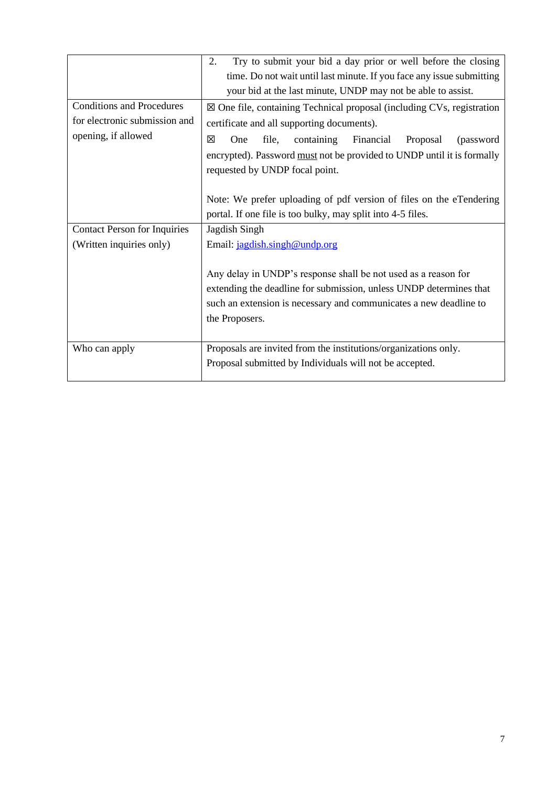|                                                                   | Try to submit your bid a day prior or well before the closing<br>2.                                                                                                                                                         |  |  |  |  |
|-------------------------------------------------------------------|-----------------------------------------------------------------------------------------------------------------------------------------------------------------------------------------------------------------------------|--|--|--|--|
|                                                                   | time. Do not wait until last minute. If you face any issue submitting                                                                                                                                                       |  |  |  |  |
|                                                                   | your bid at the last minute, UNDP may not be able to assist.                                                                                                                                                                |  |  |  |  |
| <b>Conditions and Procedures</b><br>for electronic submission and | $\boxtimes$ One file, containing Technical proposal (including CVs, registration                                                                                                                                            |  |  |  |  |
|                                                                   | certificate and all supporting documents).                                                                                                                                                                                  |  |  |  |  |
| opening, if allowed                                               | ⊠<br>file,<br>containing<br>Financial<br>One<br>(password<br>Proposal                                                                                                                                                       |  |  |  |  |
|                                                                   | encrypted). Password must not be provided to UNDP until it is formally                                                                                                                                                      |  |  |  |  |
|                                                                   | requested by UNDP focal point.                                                                                                                                                                                              |  |  |  |  |
|                                                                   |                                                                                                                                                                                                                             |  |  |  |  |
|                                                                   | Note: We prefer uploading of pdf version of files on the eTendering                                                                                                                                                         |  |  |  |  |
|                                                                   | portal. If one file is too bulky, may split into 4-5 files.                                                                                                                                                                 |  |  |  |  |
| <b>Contact Person for Inquiries</b>                               | Jagdish Singh                                                                                                                                                                                                               |  |  |  |  |
| (Written inquiries only)                                          | Email: jagdish.singh@undp.org                                                                                                                                                                                               |  |  |  |  |
|                                                                   | Any delay in UNDP's response shall be not used as a reason for<br>extending the deadline for submission, unless UNDP determines that<br>such an extension is necessary and communicates a new deadline to<br>the Proposers. |  |  |  |  |
| Who can apply                                                     | Proposals are invited from the institutions/organizations only.                                                                                                                                                             |  |  |  |  |
|                                                                   | Proposal submitted by Individuals will not be accepted.                                                                                                                                                                     |  |  |  |  |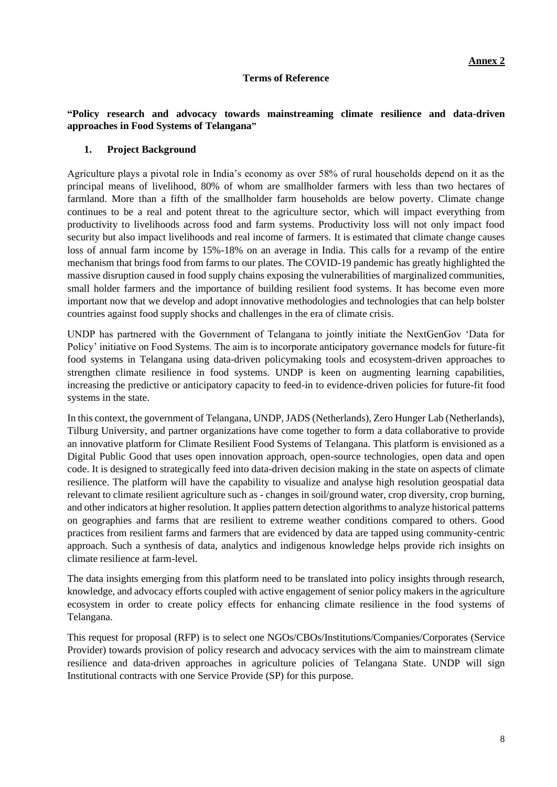### **Terms of Reference**

## **"Policy research and advocacy towards mainstreaming climate resilience and data-driven approaches in Food Systems of Telangana"**

### **1. Project Background**

Agriculture plays a pivotal role in India's economy as over 58% of rural households depend on it as the principal means of livelihood, 80% of whom are smallholder farmers with less than two hectares of farmland. More than a fifth of the smallholder farm households are below poverty. Climate change continues to be a real and potent threat to the agriculture sector, which will impact everything from productivity to livelihoods across food and farm systems. Productivity loss will not only impact food security but also impact livelihoods and real income of farmers. It is estimated that climate change causes loss of annual farm income by 15%-18% on an average in India. This calls for a revamp of the entire mechanism that brings food from farms to our plates. The COVID-19 pandemic has greatly highlighted the massive disruption caused in food supply chains exposing the vulnerabilities of marginalized communities, small holder farmers and the importance of building resilient food systems. It has become even more important now that we develop and adopt innovative methodologies and technologies that can help bolster countries against food supply shocks and challenges in the era of climate crisis.

UNDP has partnered with the Government of Telangana to jointly initiate the NextGenGov 'Data for Policy' initiative on Food Systems. The aim is to incorporate anticipatory governance models for future-fit food systems in Telangana using data-driven policymaking tools and ecosystem-driven approaches to strengthen climate resilience in food systems. UNDP is keen on augmenting learning capabilities, increasing the predictive or anticipatory capacity to feed-in to evidence-driven policies for future-fit food systems in the state.

In this context, the government of Telangana, UNDP, JADS (Netherlands), Zero Hunger Lab (Netherlands), Tilburg University, and partner organizations have come together to form a data collaborative to provide an innovative platform for Climate Resilient Food Systems of Telangana. This platform is envisioned as a Digital Public Good that uses open innovation approach, open-source technologies, open data and open code. It is designed to strategically feed into data-driven decision making in the state on aspects of climate resilience. The platform will have the capability to visualize and analyse high resolution geospatial data relevant to climate resilient agriculture such as - changes in soil/ground water, crop diversity, crop burning, and other indicators at higher resolution. It applies pattern detection algorithms to analyze historical patterns on geographies and farms that are resilient to extreme weather conditions compared to others. Good practices from resilient farms and farmers that are evidenced by data are tapped using community-centric approach. Such a synthesis of data, analytics and indigenous knowledge helps provide rich insights on climate resilience at farm-level.

The data insights emerging from this platform need to be translated into policy insights through research, knowledge, and advocacy efforts coupled with active engagement of senior policy makers in the agriculture ecosystem in order to create policy effects for enhancing climate resilience in the food systems of Telangana.

This request for proposal (RFP) is to select one NGOs/CBOs/Institutions/Companies/Corporates (Service Provider) towards provision of policy research and advocacy services with the aim to mainstream climate resilience and data-driven approaches in agriculture policies of Telangana State. UNDP will sign Institutional contracts with one Service Provide (SP) for this purpose.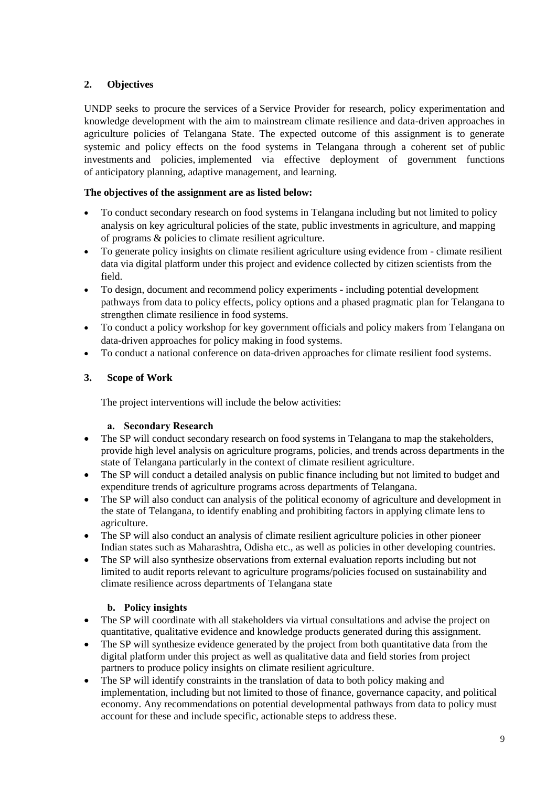# **2. Objectives**

UNDP seeks to procure the services of a Service Provider for research, policy experimentation and knowledge development with the aim to mainstream climate resilience and data-driven approaches in agriculture policies of Telangana State. The expected outcome of this assignment is to generate systemic and policy effects on the food systems in Telangana through a coherent set of public investments and policies, implemented via effective deployment of government functions of anticipatory planning, adaptive management, and learning.

# **The objectives of the assignment are as listed below:**

- To conduct secondary research on food systems in Telangana including but not limited to policy analysis on key agricultural policies of the state, public investments in agriculture, and mapping of programs & policies to climate resilient agriculture.
- To generate policy insights on climate resilient agriculture using evidence from climate resilient data via digital platform under this project and evidence collected by citizen scientists from the field.
- To design, document and recommend policy experiments including potential development pathways from data to policy effects, policy options and a phased pragmatic plan for Telangana to strengthen climate resilience in food systems.
- To conduct a policy workshop for key government officials and policy makers from Telangana on data-driven approaches for policy making in food systems.
- To conduct a national conference on data-driven approaches for climate resilient food systems.

# **3. Scope of Work**

The project interventions will include the below activities:

## **a. Secondary Research**

- The SP will conduct secondary research on food systems in Telangana to map the stakeholders, provide high level analysis on agriculture programs, policies, and trends across departments in the state of Telangana particularly in the context of climate resilient agriculture.
- The SP will conduct a detailed analysis on public finance including but not limited to budget and expenditure trends of agriculture programs across departments of Telangana.
- The SP will also conduct can analysis of the political economy of agriculture and development in the state of Telangana, to identify enabling and prohibiting factors in applying climate lens to agriculture.
- The SP will also conduct an analysis of climate resilient agriculture policies in other pioneer Indian states such as Maharashtra, Odisha etc., as well as policies in other developing countries.
- The SP will also synthesize observations from external evaluation reports including but not limited to audit reports relevant to agriculture programs/policies focused on sustainability and climate resilience across departments of Telangana state

# **b. Policy insights**

- The SP will coordinate with all stakeholders via virtual consultations and advise the project on quantitative, qualitative evidence and knowledge products generated during this assignment.
- The SP will synthesize evidence generated by the project from both quantitative data from the digital platform under this project as well as qualitative data and field stories from project partners to produce policy insights on climate resilient agriculture.
- The SP will identify constraints in the translation of data to both policy making and implementation, including but not limited to those of finance, governance capacity, and political economy. Any recommendations on potential developmental pathways from data to policy must account for these and include specific, actionable steps to address these.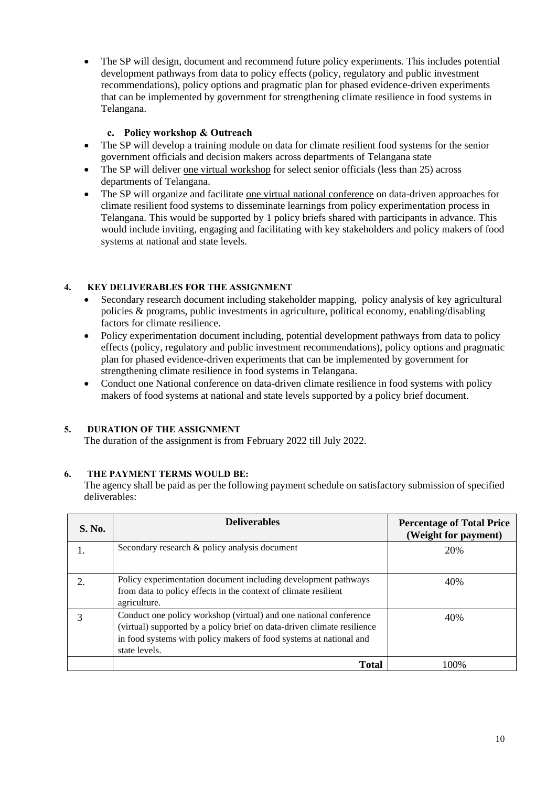• The SP will design, document and recommend future policy experiments. This includes potential development pathways from data to policy effects (policy, regulatory and public investment recommendations), policy options and pragmatic plan for phased evidence-driven experiments that can be implemented by government for strengthening climate resilience in food systems in Telangana.

## **c. Policy workshop & Outreach**

- The SP will develop a training module on data for climate resilient food systems for the senior government officials and decision makers across departments of Telangana state
- The SP will deliver one virtual workshop for select senior officials (less than 25) across departments of Telangana.
- The SP will organize and facilitate one virtual national conference on data-driven approaches for climate resilient food systems to disseminate learnings from policy experimentation process in Telangana. This would be supported by 1 policy briefs shared with participants in advance. This would include inviting, engaging and facilitating with key stakeholders and policy makers of food systems at national and state levels.

## **4. KEY DELIVERABLES FOR THE ASSIGNMENT**

- Secondary research document including stakeholder mapping, policy analysis of key agricultural policies & programs, public investments in agriculture, political economy, enabling/disabling factors for climate resilience.
- Policy experimentation document including, potential development pathways from data to policy effects (policy, regulatory and public investment recommendations), policy options and pragmatic plan for phased evidence-driven experiments that can be implemented by government for strengthening climate resilience in food systems in Telangana.
- Conduct one National conference on data-driven climate resilience in food systems with policy makers of food systems at national and state levels supported by a policy brief document.

# **5. DURATION OF THE ASSIGNMENT**

The duration of the assignment is from February 2022 till July 2022.

## **6. THE PAYMENT TERMS WOULD BE:**

The agency shall be paid as per the following payment schedule on satisfactory submission of specified deliverables:

| <b>S. No.</b> | <b>Deliverables</b>                                                                                                                                                                                                                 | <b>Percentage of Total Price</b><br>(Weight for payment) |
|---------------|-------------------------------------------------------------------------------------------------------------------------------------------------------------------------------------------------------------------------------------|----------------------------------------------------------|
| 1.            | Secondary research & policy analysis document                                                                                                                                                                                       | 20%                                                      |
| 2.            | Policy experimentation document including development pathways<br>from data to policy effects in the context of climate resilient<br>agriculture.                                                                                   | 40%                                                      |
| 3             | Conduct one policy workshop (virtual) and one national conference<br>(virtual) supported by a policy brief on data-driven climate resilience<br>in food systems with policy makers of food systems at national and<br>state levels. | 40%                                                      |
|               | <b>Total</b>                                                                                                                                                                                                                        | 100%                                                     |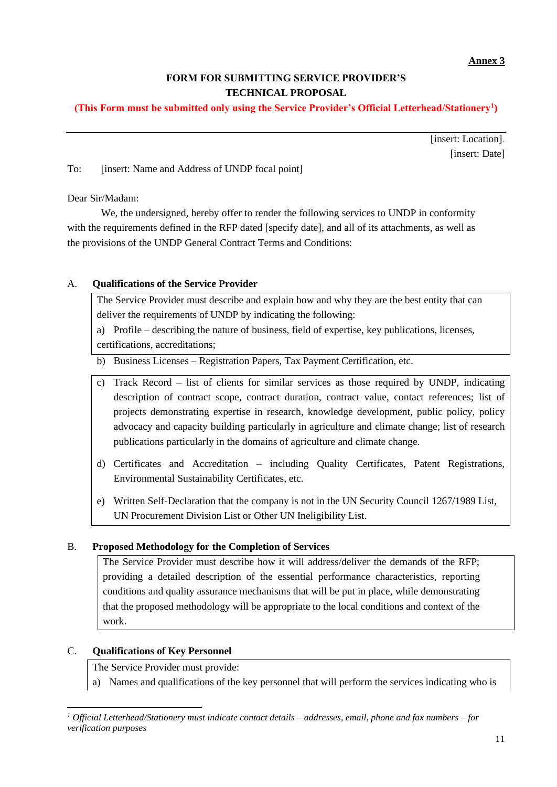# **FORM FOR SUBMITTING SERVICE PROVIDER'S TECHNICAL PROPOSAL**

# **(This Form must be submitted only using the Service Provider's Official Letterhead/Stationery<sup>1</sup> )**

[insert: Location]. [insert: Date]

To: [insert: Name and Address of UNDP focal point]

Dear Sir/Madam:

We, the undersigned, hereby offer to render the following services to UNDP in conformity with the requirements defined in the RFP dated [specify date], and all of its attachments, as well as the provisions of the UNDP General Contract Terms and Conditions:

# A. **Qualifications of the Service Provider**

The Service Provider must describe and explain how and why they are the best entity that can deliver the requirements of UNDP by indicating the following:

a) Profile – describing the nature of business, field of expertise, key publications, licenses, certifications, accreditations;

b) Business Licenses – Registration Papers, Tax Payment Certification, etc.

- c) Track Record list of clients for similar services as those required by UNDP, indicating description of contract scope, contract duration, contract value, contact references; list of projects demonstrating expertise in research, knowledge development, public policy, policy advocacy and capacity building particularly in agriculture and climate change; list of research publications particularly in the domains of agriculture and climate change.
- d) Certificates and Accreditation including Quality Certificates, Patent Registrations, Environmental Sustainability Certificates, etc.
- e) Written Self-Declaration that the company is not in the UN Security Council 1267/1989 List, UN Procurement Division List or Other UN Ineligibility List.

## B. **Proposed Methodology for the Completion of Services**

The Service Provider must describe how it will address/deliver the demands of the RFP; providing a detailed description of the essential performance characteristics, reporting conditions and quality assurance mechanisms that will be put in place, while demonstrating that the proposed methodology will be appropriate to the local conditions and context of the work.

## C. **Qualifications of Key Personnel**

The Service Provider must provide:

a) Names and qualifications of the key personnel that will perform the services indicating who is

*<sup>1</sup> Official Letterhead/Stationery must indicate contact details – addresses, email, phone and fax numbers – for verification purposes*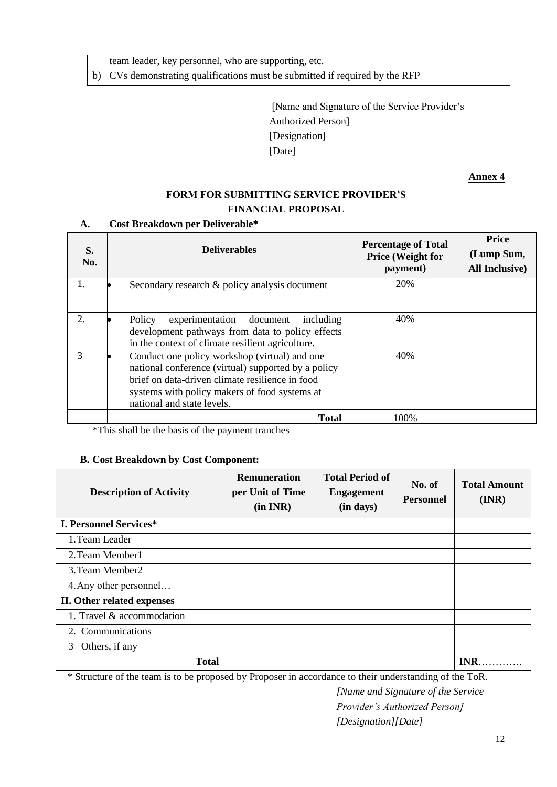team leader, key personnel, who are supporting, etc.

b) CVs demonstrating qualifications must be submitted if required by the RFP

[Name and Signature of the Service Provider's Authorized Person] [Designation] [Date]

**Annex 4**

# **FORM FOR SUBMITTING SERVICE PROVIDER'S FINANCIAL PROPOSAL**

## **A. Cost Breakdown per Deliverable\***

| S.<br>No.                   | <b>Deliverables</b>                                                                                                                                                                                                                    | <b>Percentage of Total</b><br><b>Price (Weight for</b><br>payment) | <b>Price</b><br>(Lump Sum,<br><b>All Inclusive</b> ) |
|-----------------------------|----------------------------------------------------------------------------------------------------------------------------------------------------------------------------------------------------------------------------------------|--------------------------------------------------------------------|------------------------------------------------------|
|                             | Secondary research & policy analysis document                                                                                                                                                                                          | 20%                                                                |                                                      |
| $\mathcal{D}_{\mathcal{L}}$ | Policy<br>experimentation document<br>including<br>development pathways from data to policy effects<br>in the context of climate resilient agriculture.                                                                                | 40%                                                                |                                                      |
|                             | Conduct one policy workshop (virtual) and one<br>national conference (virtual) supported by a policy<br>brief on data-driven climate resilience in food<br>systems with policy makers of food systems at<br>national and state levels. | 40%                                                                |                                                      |
|                             | <b>Total</b>                                                                                                                                                                                                                           | 100\%                                                              |                                                      |

\*This shall be the basis of the payment tranches

## **B. Cost Breakdown by Cost Component:**

| <b>Description of Activity</b> | <b>Remuneration</b><br>per Unit of Time<br>(in INR) | <b>Total Period of</b><br><b>Engagement</b><br>(in days) | No. of<br><b>Personnel</b> | <b>Total Amount</b><br>(INR) |
|--------------------------------|-----------------------------------------------------|----------------------------------------------------------|----------------------------|------------------------------|
| <b>I. Personnel Services*</b>  |                                                     |                                                          |                            |                              |
| 1. Team Leader                 |                                                     |                                                          |                            |                              |
| 2. Team Member1                |                                                     |                                                          |                            |                              |
| 3. Team Member2                |                                                     |                                                          |                            |                              |
| 4. Any other personnel         |                                                     |                                                          |                            |                              |
| II. Other related expenses     |                                                     |                                                          |                            |                              |
| 1. Travel & accommodation      |                                                     |                                                          |                            |                              |
| 2. Communications              |                                                     |                                                          |                            |                              |
| Others, if any<br>3            |                                                     |                                                          |                            |                              |
| <b>Total</b>                   |                                                     |                                                          |                            | <b>INR</b>                   |

\* Structure of the team is to be proposed by Proposer in accordance to their understanding of the ToR.

*[Name and Signature of the Service Provider's Authorized Person] [Designation][Date]*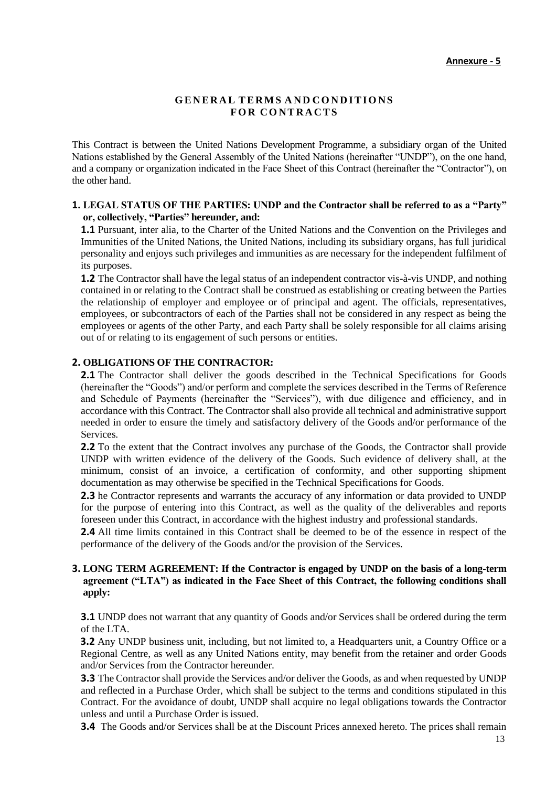#### **G E N ER A L TE RMS A N D CO N D ITIO NS FO R CO NT RA CTS**

This Contract is between the United Nations Development Programme, a subsidiary organ of the United Nations established by the General Assembly of the United Nations (hereinafter "UNDP"), on the one hand, and a company or organization indicated in the Face Sheet of this Contract (hereinafter the "Contractor"), on the other hand.

#### **1. LEGAL STATUS OF THE PARTIES: UNDP and the Contractor shall be referred to as a "Party" or, collectively, "Parties" hereunder, and:**

**1.1** Pursuant, inter alia, to the Charter of the United Nations and the Convention on the Privileges and Immunities of the United Nations, the United Nations, including its subsidiary organs, has full juridical personality and enjoys such privileges and immunities as are necessary for the independent fulfilment of its purposes.

**1.2** The Contractor shall have the legal status of an independent contractor vis-à-vis UNDP, and nothing contained in or relating to the Contract shall be construed as establishing or creating between the Parties the relationship of employer and employee or of principal and agent. The officials, representatives, employees, or subcontractors of each of the Parties shall not be considered in any respect as being the employees or agents of the other Party, and each Party shall be solely responsible for all claims arising out of or relating to its engagement of such persons or entities.

#### **2. OBLIGATIONS OF THE CONTRACTOR:**

**2.1** The Contractor shall deliver the goods described in the Technical Specifications for Goods (hereinafter the "Goods") and/or perform and complete the services described in the Terms of Reference and Schedule of Payments (hereinafter the "Services"), with due diligence and efficiency, and in accordance with this Contract. The Contractor shall also provide all technical and administrative support needed in order to ensure the timely and satisfactory delivery of the Goods and/or performance of the Services.

**2.2** To the extent that the Contract involves any purchase of the Goods, the Contractor shall provide UNDP with written evidence of the delivery of the Goods. Such evidence of delivery shall, at the minimum, consist of an invoice, a certification of conformity, and other supporting shipment documentation as may otherwise be specified in the Technical Specifications for Goods.

**2.3** he Contractor represents and warrants the accuracy of any information or data provided to UNDP for the purpose of entering into this Contract, as well as the quality of the deliverables and reports foreseen under this Contract, in accordance with the highest industry and professional standards.

**2.4** All time limits contained in this Contract shall be deemed to be of the essence in respect of the performance of the delivery of the Goods and/or the provision of the Services.

#### **3. LONG TERM AGREEMENT: If the Contractor is engaged by UNDP on the basis of a long-term agreement ("LTA") as indicated in the Face Sheet of this Contract, the following conditions shall apply:**

**3.1** UNDP does not warrant that any quantity of Goods and/or Services shall be ordered during the term of the LTA.

**3.2** Any UNDP business unit, including, but not limited to, a Headquarters unit, a Country Office or a Regional Centre, as well as any United Nations entity, may benefit from the retainer and order Goods and/or Services from the Contractor hereunder.

**3.3** The Contractor shall provide the Services and/or deliver the Goods, as and when requested by UNDP and reflected in a Purchase Order, which shall be subject to the terms and conditions stipulated in this Contract. For the avoidance of doubt, UNDP shall acquire no legal obligations towards the Contractor unless and until a Purchase Order is issued.

**3.4** The Goods and/or Services shall be at the Discount Prices annexed hereto. The prices shall remain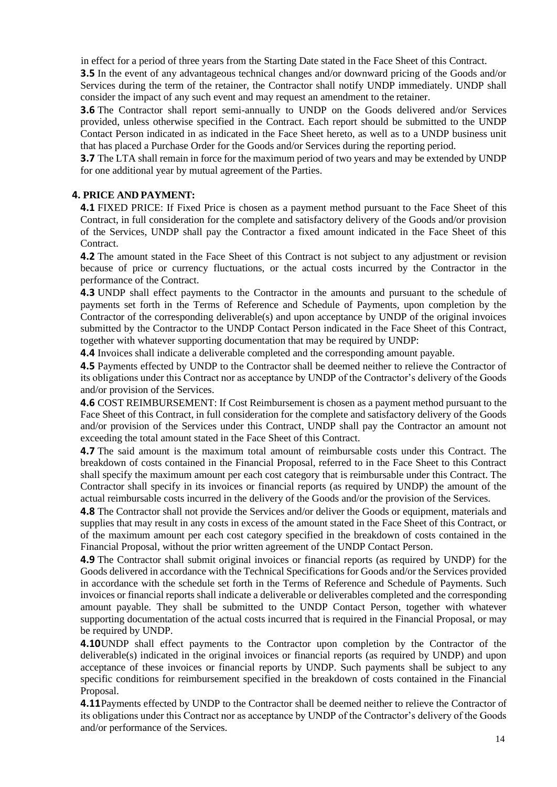in effect for a period of three years from the Starting Date stated in the Face Sheet of this Contract.

**3.5** In the event of any advantageous technical changes and/or downward pricing of the Goods and/or Services during the term of the retainer, the Contractor shall notify UNDP immediately. UNDP shall consider the impact of any such event and may request an amendment to the retainer.

**3.6** The Contractor shall report semi-annually to UNDP on the Goods delivered and/or Services provided, unless otherwise specified in the Contract. Each report should be submitted to the UNDP Contact Person indicated in as indicated in the Face Sheet hereto, as well as to a UNDP business unit that has placed a Purchase Order for the Goods and/or Services during the reporting period.

**3.7** The LTA shall remain in force for the maximum period of two years and may be extended by UNDP for one additional year by mutual agreement of the Parties.

## **4. PRICE AND PAYMENT:**

**4.1** FIXED PRICE: If Fixed Price is chosen as a payment method pursuant to the Face Sheet of this Contract, in full consideration for the complete and satisfactory delivery of the Goods and/or provision of the Services, UNDP shall pay the Contractor a fixed amount indicated in the Face Sheet of this Contract.

**4.2** The amount stated in the Face Sheet of this Contract is not subject to any adjustment or revision because of price or currency fluctuations, or the actual costs incurred by the Contractor in the performance of the Contract.

**4.3** UNDP shall effect payments to the Contractor in the amounts and pursuant to the schedule of payments set forth in the Terms of Reference and Schedule of Payments, upon completion by the Contractor of the corresponding deliverable(s) and upon acceptance by UNDP of the original invoices submitted by the Contractor to the UNDP Contact Person indicated in the Face Sheet of this Contract, together with whatever supporting documentation that may be required by UNDP:

**4.4** Invoices shall indicate a deliverable completed and the corresponding amount payable.

**4.5** Payments effected by UNDP to the Contractor shall be deemed neither to relieve the Contractor of its obligations under this Contract nor as acceptance by UNDP of the Contractor's delivery of the Goods and/or provision of the Services.

**4.6** COST REIMBURSEMENT: If Cost Reimbursement is chosen as a payment method pursuant to the Face Sheet of this Contract, in full consideration for the complete and satisfactory delivery of the Goods and/or provision of the Services under this Contract, UNDP shall pay the Contractor an amount not exceeding the total amount stated in the Face Sheet of this Contract.

**4.7** The said amount is the maximum total amount of reimbursable costs under this Contract. The breakdown of costs contained in the Financial Proposal, referred to in the Face Sheet to this Contract shall specify the maximum amount per each cost category that is reimbursable under this Contract. The Contractor shall specify in its invoices or financial reports (as required by UNDP) the amount of the actual reimbursable costs incurred in the delivery of the Goods and/or the provision of the Services.

**4.8** The Contractor shall not provide the Services and/or deliver the Goods or equipment, materials and supplies that may result in any costs in excess of the amount stated in the Face Sheet of this Contract, or of the maximum amount per each cost category specified in the breakdown of costs contained in the Financial Proposal, without the prior written agreement of the UNDP Contact Person.

**4.9** The Contractor shall submit original invoices or financial reports (as required by UNDP) for the Goods delivered in accordance with the Technical Specifications for Goods and/or the Services provided in accordance with the schedule set forth in the Terms of Reference and Schedule of Payments. Such invoices or financial reports shall indicate a deliverable or deliverables completed and the corresponding amount payable. They shall be submitted to the UNDP Contact Person, together with whatever supporting documentation of the actual costs incurred that is required in the Financial Proposal, or may be required by UNDP.

**4.10**UNDP shall effect payments to the Contractor upon completion by the Contractor of the deliverable(s) indicated in the original invoices or financial reports (as required by UNDP) and upon acceptance of these invoices or financial reports by UNDP. Such payments shall be subject to any specific conditions for reimbursement specified in the breakdown of costs contained in the Financial Proposal.

**4.11**Payments effected by UNDP to the Contractor shall be deemed neither to relieve the Contractor of its obligations under this Contract nor as acceptance by UNDP of the Contractor's delivery of the Goods and/or performance of the Services.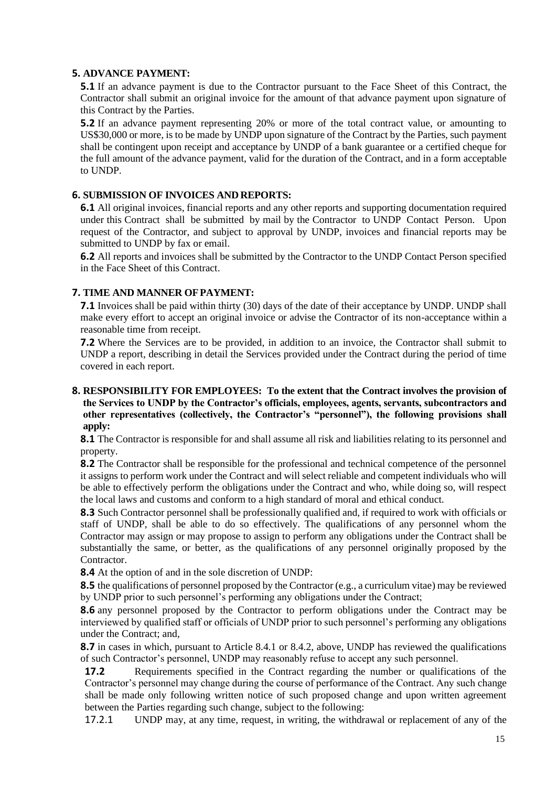### **5. ADVANCE PAYMENT:**

**5.1** If an advance payment is due to the Contractor pursuant to the Face Sheet of this Contract, the Contractor shall submit an original invoice for the amount of that advance payment upon signature of this Contract by the Parties.

**5.2** If an advance payment representing 20% or more of the total contract value, or amounting to US\$30,000 or more, is to be made by UNDP upon signature of the Contract by the Parties, such payment shall be contingent upon receipt and acceptance by UNDP of a bank guarantee or a certified cheque for the full amount of the advance payment, valid for the duration of the Contract, and in a form acceptable to UNDP.

## **6. SUBMISSION OF INVOICES AND REPORTS:**

**6.1** All original invoices, financial reports and any other reports and supporting documentation required under this Contract shall be submitted by mail by the Contractor to UNDP Contact Person. Upon request of the Contractor, and subject to approval by UNDP, invoices and financial reports may be submitted to UNDP by fax or email.

**6.2** All reports and invoices shall be submitted by the Contractor to the UNDP Contact Person specified in the Face Sheet of this Contract.

## **7. TIME AND MANNER OFPAYMENT:**

**7.1** Invoices shall be paid within thirty (30) days of the date of their acceptance by UNDP. UNDP shall make every effort to accept an original invoice or advise the Contractor of its non-acceptance within a reasonable time from receipt.

**7.2** Where the Services are to be provided, in addition to an invoice, the Contractor shall submit to UNDP a report, describing in detail the Services provided under the Contract during the period of time covered in each report.

### **8. RESPONSIBILITY FOR EMPLOYEES: To the extent that the Contract involves the provision of the Services to UNDP by the Contractor's officials, employees, agents, servants, subcontractors and other representatives (collectively, the Contractor's "personnel"), the following provisions shall apply:**

**8.1** The Contractor is responsible for and shall assume all risk and liabilities relating to its personnel and property.

**8.2** The Contractor shall be responsible for the professional and technical competence of the personnel it assigns to perform work under the Contract and will select reliable and competent individuals who will be able to effectively perform the obligations under the Contract and who, while doing so, will respect the local laws and customs and conform to a high standard of moral and ethical conduct.

**8.3** Such Contractor personnel shall be professionally qualified and, if required to work with officials or staff of UNDP, shall be able to do so effectively. The qualifications of any personnel whom the Contractor may assign or may propose to assign to perform any obligations under the Contract shall be substantially the same, or better, as the qualifications of any personnel originally proposed by the Contractor.

**8.4** At the option of and in the sole discretion of UNDP:

**8.5** the qualifications of personnel proposed by the Contractor (e.g., a curriculum vitae) may be reviewed by UNDP prior to such personnel's performing any obligations under the Contract;

**8.6** any personnel proposed by the Contractor to perform obligations under the Contract may be interviewed by qualified staff or officials of UNDP prior to such personnel's performing any obligations under the Contract; and,

**8.7** in cases in which, pursuant to Article 8.4.1 or 8.4.2, above, UNDP has reviewed the qualifications of such Contractor's personnel, UNDP may reasonably refuse to accept any such personnel.

**17.2** Requirements specified in the Contract regarding the number or qualifications of the Contractor's personnel may change during the course of performance of the Contract. Any such change shall be made only following written notice of such proposed change and upon written agreement between the Parties regarding such change, subject to the following:

17.2.1 UNDP may, at any time, request, in writing, the withdrawal or replacement of any of the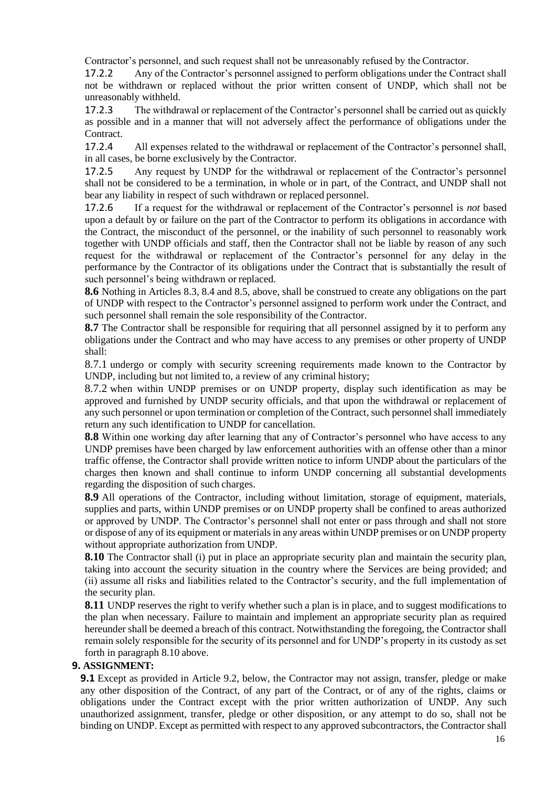Contractor's personnel, and such request shall not be unreasonably refused by the Contractor.

17.2.2 Any of the Contractor's personnel assigned to perform obligations under the Contract shall not be withdrawn or replaced without the prior written consent of UNDP, which shall not be unreasonably withheld.

17.2.3 The withdrawal or replacement of the Contractor's personnel shall be carried out as quickly as possible and in a manner that will not adversely affect the performance of obligations under the Contract.

17.2.4 All expenses related to the withdrawal or replacement of the Contractor's personnel shall, in all cases, be borne exclusively by the Contractor.

17.2.5 Any request by UNDP for the withdrawal or replacement of the Contractor's personnel shall not be considered to be a termination, in whole or in part, of the Contract, and UNDP shall not bear any liability in respect of such withdrawn or replaced personnel.

17.2.6 If a request for the withdrawal or replacement of the Contractor's personnel is *not* based upon a default by or failure on the part of the Contractor to perform its obligations in accordance with the Contract, the misconduct of the personnel, or the inability of such personnel to reasonably work together with UNDP officials and staff, then the Contractor shall not be liable by reason of any such request for the withdrawal or replacement of the Contractor's personnel for any delay in the performance by the Contractor of its obligations under the Contract that is substantially the result of such personnel's being withdrawn or replaced.

**8.6** Nothing in Articles 8.3, 8.4 and 8.5, above, shall be construed to create any obligations on the part of UNDP with respect to the Contractor's personnel assigned to perform work under the Contract, and such personnel shall remain the sole responsibility of the Contractor.

**8.7** The Contractor shall be responsible for requiring that all personnel assigned by it to perform any obligations under the Contract and who may have access to any premises or other property of UNDP shall:

8.7.1 undergo or comply with security screening requirements made known to the Contractor by UNDP, including but not limited to, a review of any criminal history;

8.7.2 when within UNDP premises or on UNDP property, display such identification as may be approved and furnished by UNDP security officials, and that upon the withdrawal or replacement of any such personnel or upon termination or completion of the Contract, such personnel shall immediately return any such identification to UNDP for cancellation.

**8.8** Within one working day after learning that any of Contractor's personnel who have access to any UNDP premises have been charged by law enforcement authorities with an offense other than a minor traffic offense, the Contractor shall provide written notice to inform UNDP about the particulars of the charges then known and shall continue to inform UNDP concerning all substantial developments regarding the disposition of such charges.

**8.9** All operations of the Contractor, including without limitation, storage of equipment, materials, supplies and parts, within UNDP premises or on UNDP property shall be confined to areas authorized or approved by UNDP. The Contractor's personnel shall not enter or pass through and shall not store or dispose of any of its equipment or materials in any areas within UNDP premises or on UNDP property without appropriate authorization from UNDP.

**8.10** The Contractor shall (i) put in place an appropriate security plan and maintain the security plan, taking into account the security situation in the country where the Services are being provided; and (ii) assume all risks and liabilities related to the Contractor's security, and the full implementation of the security plan.

**8.11** UNDP reserves the right to verify whether such a plan is in place, and to suggest modifications to the plan when necessary. Failure to maintain and implement an appropriate security plan as required hereunder shall be deemed a breach of this contract. Notwithstanding the foregoing, the Contractor shall remain solely responsible for the security of its personnel and for UNDP's property in its custody as set forth in paragraph 8.10 above.

## **9. ASSIGNMENT:**

**9.1** Except as provided in Article 9.2, below, the Contractor may not assign, transfer, pledge or make any other disposition of the Contract, of any part of the Contract, or of any of the rights, claims or obligations under the Contract except with the prior written authorization of UNDP. Any such unauthorized assignment, transfer, pledge or other disposition, or any attempt to do so, shall not be binding on UNDP. Except as permitted with respect to any approved subcontractors, the Contractor shall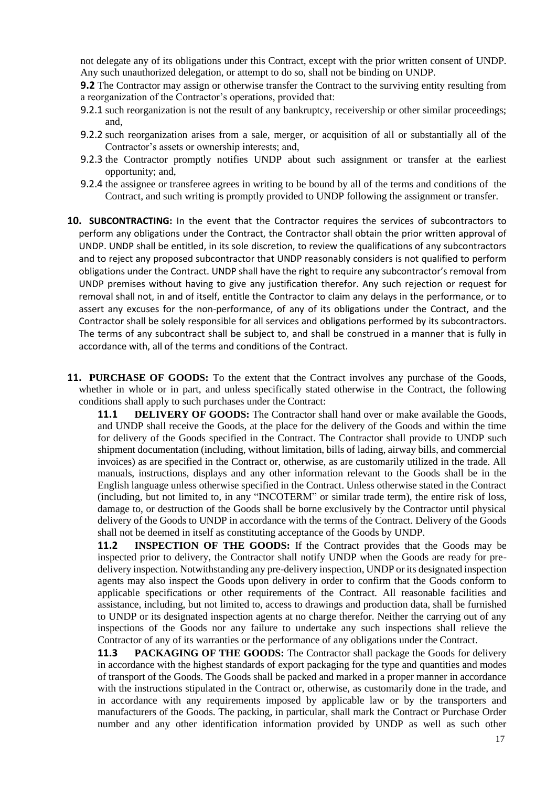not delegate any of its obligations under this Contract, except with the prior written consent of UNDP. Any such unauthorized delegation, or attempt to do so, shall not be binding on UNDP.

**9.2** The Contractor may assign or otherwise transfer the Contract to the surviving entity resulting from a reorganization of the Contractor's operations, provided that:

- 9.2.1 such reorganization is not the result of any bankruptcy, receivership or other similar proceedings; and,
- 9.2.2 such reorganization arises from a sale, merger, or acquisition of all or substantially all of the Contractor's assets or ownership interests; and,
- 9.2.3 the Contractor promptly notifies UNDP about such assignment or transfer at the earliest opportunity; and,
- 9.2.4 the assignee or transferee agrees in writing to be bound by all of the terms and conditions of the Contract, and such writing is promptly provided to UNDP following the assignment or transfer.
- **10. SUBCONTRACTING:** In the event that the Contractor requires the services of subcontractors to perform any obligations under the Contract, the Contractor shall obtain the prior written approval of UNDP. UNDP shall be entitled, in its sole discretion, to review the qualifications of any subcontractors and to reject any proposed subcontractor that UNDP reasonably considers is not qualified to perform obligations under the Contract. UNDP shall have the right to require any subcontractor's removal from UNDP premises without having to give any justification therefor. Any such rejection or request for removal shall not, in and of itself, entitle the Contractor to claim any delays in the performance, or to assert any excuses for the non-performance, of any of its obligations under the Contract, and the Contractor shall be solely responsible for all services and obligations performed by its subcontractors. The terms of any subcontract shall be subject to, and shall be construed in a manner that is fully in accordance with, all of the terms and conditions of the Contract.
- **11. PURCHASE OF GOODS:** To the extent that the Contract involves any purchase of the Goods, whether in whole or in part, and unless specifically stated otherwise in the Contract, the following conditions shall apply to such purchases under the Contract:

**11.1 DELIVERY OF GOODS:** The Contractor shall hand over or make available the Goods, and UNDP shall receive the Goods, at the place for the delivery of the Goods and within the time for delivery of the Goods specified in the Contract. The Contractor shall provide to UNDP such shipment documentation (including, without limitation, bills of lading, airway bills, and commercial invoices) as are specified in the Contract or, otherwise, as are customarily utilized in the trade. All manuals, instructions, displays and any other information relevant to the Goods shall be in the English language unless otherwise specified in the Contract. Unless otherwise stated in the Contract (including, but not limited to, in any "INCOTERM" or similar trade term), the entire risk of loss, damage to, or destruction of the Goods shall be borne exclusively by the Contractor until physical delivery of the Goods to UNDP in accordance with the terms of the Contract. Delivery of the Goods shall not be deemed in itself as constituting acceptance of the Goods by UNDP.

**11.2 INSPECTION OF THE GOODS:** If the Contract provides that the Goods may be inspected prior to delivery, the Contractor shall notify UNDP when the Goods are ready for predelivery inspection. Notwithstanding any pre-delivery inspection, UNDP or its designated inspection agents may also inspect the Goods upon delivery in order to confirm that the Goods conform to applicable specifications or other requirements of the Contract. All reasonable facilities and assistance, including, but not limited to, access to drawings and production data, shall be furnished to UNDP or its designated inspection agents at no charge therefor. Neither the carrying out of any inspections of the Goods nor any failure to undertake any such inspections shall relieve the Contractor of any of its warranties or the performance of any obligations under the Contract.

**11.3 PACKAGING OF THE GOODS:** The Contractor shall package the Goods for delivery in accordance with the highest standards of export packaging for the type and quantities and modes of transport of the Goods. The Goods shall be packed and marked in a proper manner in accordance with the instructions stipulated in the Contract or, otherwise, as customarily done in the trade, and in accordance with any requirements imposed by applicable law or by the transporters and manufacturers of the Goods. The packing, in particular, shall mark the Contract or Purchase Order number and any other identification information provided by UNDP as well as such other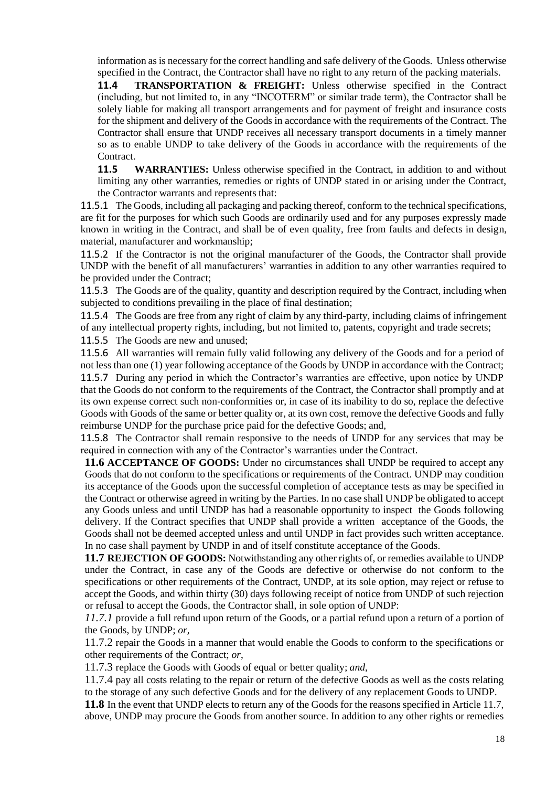information as is necessary for the correct handling and safe delivery of the Goods. Unless otherwise specified in the Contract, the Contractor shall have no right to any return of the packing materials.

**11.4 TRANSPORTATION & FREIGHT:** Unless otherwise specified in the Contract (including, but not limited to, in any "INCOTERM" or similar trade term), the Contractor shall be solely liable for making all transport arrangements and for payment of freight and insurance costs for the shipment and delivery of the Goods in accordance with the requirements of the Contract. The Contractor shall ensure that UNDP receives all necessary transport documents in a timely manner so as to enable UNDP to take delivery of the Goods in accordance with the requirements of the Contract.

**11.5 WARRANTIES:** Unless otherwise specified in the Contract, in addition to and without limiting any other warranties, remedies or rights of UNDP stated in or arising under the Contract, the Contractor warrants and represents that:

11.5.1 The Goods, including all packaging and packing thereof, conform to the technical specifications, are fit for the purposes for which such Goods are ordinarily used and for any purposes expressly made known in writing in the Contract, and shall be of even quality, free from faults and defects in design, material, manufacturer and workmanship;

11.5.2 If the Contractor is not the original manufacturer of the Goods, the Contractor shall provide UNDP with the benefit of all manufacturers' warranties in addition to any other warranties required to be provided under the Contract;

11.5.3 The Goods are of the quality, quantity and description required by the Contract, including when subjected to conditions prevailing in the place of final destination;

11.5.4 The Goods are free from any right of claim by any third-party, including claims of infringement of any intellectual property rights, including, but not limited to, patents, copyright and trade secrets;

11.5.5 The Goods are new and unused;

11.5.6 All warranties will remain fully valid following any delivery of the Goods and for a period of not less than one (1) year following acceptance of the Goods by UNDP in accordance with the Contract; 11.5.7 During any period in which the Contractor's warranties are effective, upon notice by UNDP that the Goods do not conform to the requirements of the Contract, the Contractor shall promptly and at its own expense correct such non-conformities or, in case of its inability to do so, replace the defective Goods with Goods of the same or better quality or, at its own cost, remove the defective Goods and fully reimburse UNDP for the purchase price paid for the defective Goods; and,

11.5.8 The Contractor shall remain responsive to the needs of UNDP for any services that may be required in connection with any of the Contractor's warranties under the Contract.

**11.6 ACCEPTANCE OF GOODS:** Under no circumstances shall UNDP be required to accept any Goods that do not conform to the specifications or requirements of the Contract. UNDP may condition its acceptance of the Goods upon the successful completion of acceptance tests as may be specified in the Contract or otherwise agreed in writing by the Parties. In no case shall UNDP be obligated to accept any Goods unless and until UNDP has had a reasonable opportunity to inspect the Goods following delivery. If the Contract specifies that UNDP shall provide a written acceptance of the Goods, the Goods shall not be deemed accepted unless and until UNDP in fact provides such written acceptance. In no case shall payment by UNDP in and of itself constitute acceptance of the Goods.

**11.7 REJECTION OF GOODS:** Notwithstanding any other rights of, or remedies available to UNDP under the Contract, in case any of the Goods are defective or otherwise do not conform to the specifications or other requirements of the Contract, UNDP, at its sole option, may reject or refuse to accept the Goods, and within thirty (30) days following receipt of notice from UNDP of such rejection or refusal to accept the Goods, the Contractor shall, in sole option of UNDP:

*11.7.1* provide a full refund upon return of the Goods, or a partial refund upon a return of a portion of the Goods, by UNDP; *or,*

11.7.2 repair the Goods in a manner that would enable the Goods to conform to the specifications or other requirements of the Contract; *or*,

11.7.3 replace the Goods with Goods of equal or better quality; *and*,

11.7.4 pay all costs relating to the repair or return of the defective Goods as well as the costs relating to the storage of any such defective Goods and for the delivery of any replacement Goods to UNDP.

**11.8** In the event that UNDP elects to return any of the Goods for the reasons specified in Article 11.7, above, UNDP may procure the Goods from another source. In addition to any other rights or remedies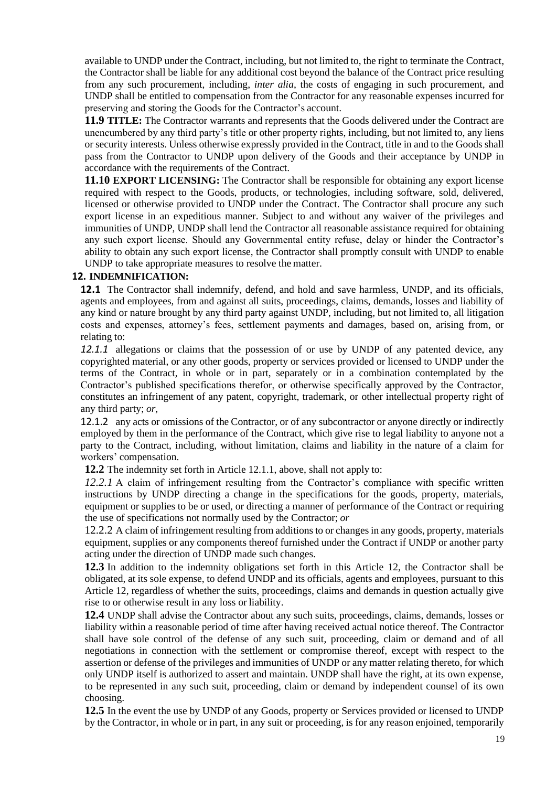available to UNDP under the Contract, including, but not limited to, the right to terminate the Contract, the Contractor shall be liable for any additional cost beyond the balance of the Contract price resulting from any such procurement, including, *inter alia*, the costs of engaging in such procurement, and UNDP shall be entitled to compensation from the Contractor for any reasonable expenses incurred for preserving and storing the Goods for the Contractor's account.

**11.9 TITLE:** The Contractor warrants and represents that the Goods delivered under the Contract are unencumbered by any third party's title or other property rights, including, but not limited to, any liens or security interests. Unless otherwise expressly provided in the Contract, title in and to the Goods shall pass from the Contractor to UNDP upon delivery of the Goods and their acceptance by UNDP in accordance with the requirements of the Contract.

**11.10 EXPORT LICENSING:** The Contractor shall be responsible for obtaining any export license required with respect to the Goods, products, or technologies, including software, sold, delivered, licensed or otherwise provided to UNDP under the Contract. The Contractor shall procure any such export license in an expeditious manner. Subject to and without any waiver of the privileges and immunities of UNDP, UNDP shall lend the Contractor all reasonable assistance required for obtaining any such export license. Should any Governmental entity refuse, delay or hinder the Contractor's ability to obtain any such export license, the Contractor shall promptly consult with UNDP to enable UNDP to take appropriate measures to resolve the matter.

### **12. INDEMNIFICATION:**

**12.1** The Contractor shall indemnify, defend, and hold and save harmless, UNDP, and its officials, agents and employees, from and against all suits, proceedings, claims, demands, losses and liability of any kind or nature brought by any third party against UNDP, including, but not limited to, all litigation costs and expenses, attorney's fees, settlement payments and damages, based on, arising from, or relating to:

*12.1.1* allegations or claims that the possession of or use by UNDP of any patented device, any copyrighted material, or any other goods, property or services provided or licensed to UNDP under the terms of the Contract, in whole or in part, separately or in a combination contemplated by the Contractor's published specifications therefor, or otherwise specifically approved by the Contractor, constitutes an infringement of any patent, copyright, trademark, or other intellectual property right of any third party; *or,*

12.1.2 any acts or omissions of the Contractor, or of any subcontractor or anyone directly or indirectly employed by them in the performance of the Contract, which give rise to legal liability to anyone not a party to the Contract, including, without limitation, claims and liability in the nature of a claim for workers' compensation.

**12.2** The indemnity set forth in Article 12.1.1, above, shall not apply to:

*12.2.1* A claim of infringement resulting from the Contractor's compliance with specific written instructions by UNDP directing a change in the specifications for the goods, property, materials, equipment or supplies to be or used, or directing a manner of performance of the Contract or requiring the use of specifications not normally used by the Contractor; *or*

12.2.2 A claim of infringement resulting from additions to or changes in any goods, property, materials equipment, supplies or any components thereof furnished under the Contract if UNDP or another party acting under the direction of UNDP made such changes.

**12.3** In addition to the indemnity obligations set forth in this Article 12, the Contractor shall be obligated, at its sole expense, to defend UNDP and its officials, agents and employees, pursuant to this Article 12, regardless of whether the suits, proceedings, claims and demands in question actually give rise to or otherwise result in any loss or liability.

**12.4** UNDP shall advise the Contractor about any such suits, proceedings, claims, demands, losses or liability within a reasonable period of time after having received actual notice thereof. The Contractor shall have sole control of the defense of any such suit, proceeding, claim or demand and of all negotiations in connection with the settlement or compromise thereof, except with respect to the assertion or defense of the privileges and immunities of UNDP or any matter relating thereto, for which only UNDP itself is authorized to assert and maintain. UNDP shall have the right, at its own expense, to be represented in any such suit, proceeding, claim or demand by independent counsel of its own choosing.

**12.5** In the event the use by UNDP of any Goods, property or Services provided or licensed to UNDP by the Contractor, in whole or in part, in any suit or proceeding, is for any reason enjoined, temporarily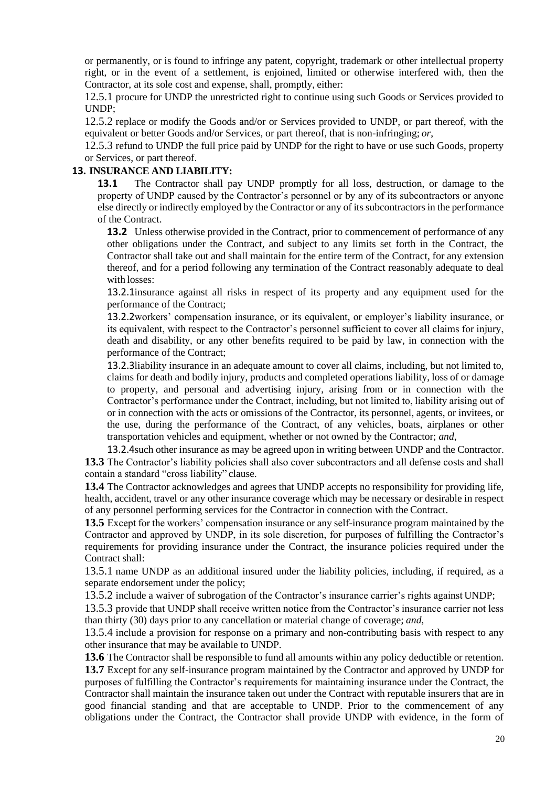or permanently, or is found to infringe any patent, copyright, trademark or other intellectual property right, or in the event of a settlement, is enjoined, limited or otherwise interfered with, then the Contractor, at its sole cost and expense, shall, promptly, either:

12.5.1 procure for UNDP the unrestricted right to continue using such Goods or Services provided to UNDP;

12.5.2 replace or modify the Goods and/or or Services provided to UNDP, or part thereof, with the equivalent or better Goods and/or Services, or part thereof, that is non-infringing; *or*,

12.5.3 refund to UNDP the full price paid by UNDP for the right to have or use such Goods, property or Services, or part thereof.

### **13. INSURANCE AND LIABILITY:**

**13.1** The Contractor shall pay UNDP promptly for all loss, destruction, or damage to the property of UNDP caused by the Contractor's personnel or by any of its subcontractors or anyone else directly or indirectly employed by the Contractor or any of its subcontractors in the performance of the Contract.

**13.2** Unless otherwise provided in the Contract, prior to commencement of performance of any other obligations under the Contract, and subject to any limits set forth in the Contract, the Contractor shall take out and shall maintain for the entire term of the Contract, for any extension thereof, and for a period following any termination of the Contract reasonably adequate to deal with losses:

13.2.1insurance against all risks in respect of its property and any equipment used for the performance of the Contract;

13.2.2workers' compensation insurance, or its equivalent, or employer's liability insurance, or its equivalent, with respect to the Contractor's personnel sufficient to cover all claims for injury, death and disability, or any other benefits required to be paid by law, in connection with the performance of the Contract;

13.2.3liability insurance in an adequate amount to cover all claims, including, but not limited to, claims for death and bodily injury, products and completed operations liability, loss of or damage to property, and personal and advertising injury, arising from or in connection with the Contractor's performance under the Contract, including, but not limited to, liability arising out of or in connection with the acts or omissions of the Contractor, its personnel, agents, or invitees, or the use, during the performance of the Contract, of any vehicles, boats, airplanes or other transportation vehicles and equipment, whether or not owned by the Contractor; *and*,

13.2.4such other insurance as may be agreed upon in writing between UNDP and the Contractor. **13.3** The Contractor's liability policies shall also cover subcontractors and all defense costs and shall contain a standard "cross liability" clause.

**13.4** The Contractor acknowledges and agrees that UNDP accepts no responsibility for providing life, health, accident, travel or any other insurance coverage which may be necessary or desirable in respect of any personnel performing services for the Contractor in connection with the Contract.

**13.5** Except for the workers' compensation insurance or any self-insurance program maintained by the Contractor and approved by UNDP, in its sole discretion, for purposes of fulfilling the Contractor's requirements for providing insurance under the Contract, the insurance policies required under the Contract shall:

13.5.1 name UNDP as an additional insured under the liability policies, including, if required, as a separate endorsement under the policy;

13.5.2 include a waiver of subrogation of the Contractor's insurance carrier's rights against UNDP;

13.5.3 provide that UNDP shall receive written notice from the Contractor's insurance carrier not less than thirty (30) days prior to any cancellation or material change of coverage; *and*,

13.5.4 include a provision for response on a primary and non-contributing basis with respect to any other insurance that may be available to UNDP.

**13.6** The Contractor shall be responsible to fund all amounts within any policy deductible or retention. **13.7** Except for any self-insurance program maintained by the Contractor and approved by UNDP for purposes of fulfilling the Contractor's requirements for maintaining insurance under the Contract, the Contractor shall maintain the insurance taken out under the Contract with reputable insurers that are in good financial standing and that are acceptable to UNDP. Prior to the commencement of any obligations under the Contract, the Contractor shall provide UNDP with evidence, in the form of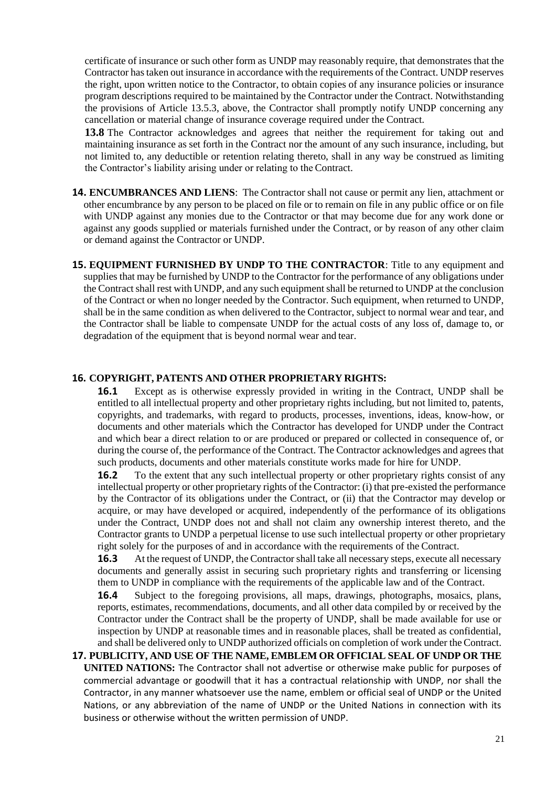certificate of insurance or such other form as UNDP may reasonably require, that demonstrates that the Contractor has taken out insurance in accordance with the requirements of the Contract. UNDP reserves the right, upon written notice to the Contractor, to obtain copies of any insurance policies or insurance program descriptions required to be maintained by the Contractor under the Contract. Notwithstanding the provisions of Article 13.5.3, above, the Contractor shall promptly notify UNDP concerning any cancellation or material change of insurance coverage required under the Contract.

**13.8** The Contractor acknowledges and agrees that neither the requirement for taking out and maintaining insurance as set forth in the Contract nor the amount of any such insurance, including, but not limited to, any deductible or retention relating thereto, shall in any way be construed as limiting the Contractor's liability arising under or relating to the Contract.

**14. ENCUMBRANCES AND LIENS**: The Contractor shall not cause or permit any lien, attachment or other encumbrance by any person to be placed on file or to remain on file in any public office or on file with UNDP against any monies due to the Contractor or that may become due for any work done or against any goods supplied or materials furnished under the Contract, or by reason of any other claim or demand against the Contractor or UNDP.

**15. EQUIPMENT FURNISHED BY UNDP TO THE CONTRACTOR**: Title to any equipment and supplies that may be furnished by UNDP to the Contractor for the performance of any obligations under the Contract shall rest with UNDP, and any such equipment shall be returned to UNDP at the conclusion of the Contract or when no longer needed by the Contractor. Such equipment, when returned to UNDP, shall be in the same condition as when delivered to the Contractor, subject to normal wear and tear, and the Contractor shall be liable to compensate UNDP for the actual costs of any loss of, damage to, or degradation of the equipment that is beyond normal wear and tear.

### **16. COPYRIGHT, PATENTS AND OTHER PROPRIETARY RIGHTS:**

**16.1** Except as is otherwise expressly provided in writing in the Contract, UNDP shall be entitled to all intellectual property and other proprietary rights including, but not limited to, patents, copyrights, and trademarks, with regard to products, processes, inventions, ideas, know-how, or documents and other materials which the Contractor has developed for UNDP under the Contract and which bear a direct relation to or are produced or prepared or collected in consequence of, or during the course of, the performance of the Contract. The Contractor acknowledges and agrees that such products, documents and other materials constitute works made for hire for UNDP.

**16.2** To the extent that any such intellectual property or other proprietary rights consist of any intellectual property or other proprietary rights of the Contractor: (i) that pre-existed the performance by the Contractor of its obligations under the Contract, or (ii) that the Contractor may develop or acquire, or may have developed or acquired, independently of the performance of its obligations under the Contract, UNDP does not and shall not claim any ownership interest thereto, and the Contractor grants to UNDP a perpetual license to use such intellectual property or other proprietary right solely for the purposes of and in accordance with the requirements of the Contract.

**16.3** At the request of UNDP, the Contractor shall take all necessary steps, execute all necessary documents and generally assist in securing such proprietary rights and transferring or licensing them to UNDP in compliance with the requirements of the applicable law and of the Contract.

**16.4** Subject to the foregoing provisions, all maps, drawings, photographs, mosaics, plans, reports, estimates, recommendations, documents, and all other data compiled by or received by the Contractor under the Contract shall be the property of UNDP, shall be made available for use or inspection by UNDP at reasonable times and in reasonable places, shall be treated as confidential, and shall be delivered only to UNDP authorized officials on completion of work under theContract.

**17. PUBLICITY, AND USE OF THE NAME, EMBLEM OR OFFICIAL SEAL OF UNDP OR THE UNITED NATIONS:** The Contractor shall not advertise or otherwise make public for purposes of commercial advantage or goodwill that it has a contractual relationship with UNDP, nor shall the Contractor, in any manner whatsoever use the name, emblem or official seal of UNDP or the United Nations, or any abbreviation of the name of UNDP or the United Nations in connection with its business or otherwise without the written permission of UNDP.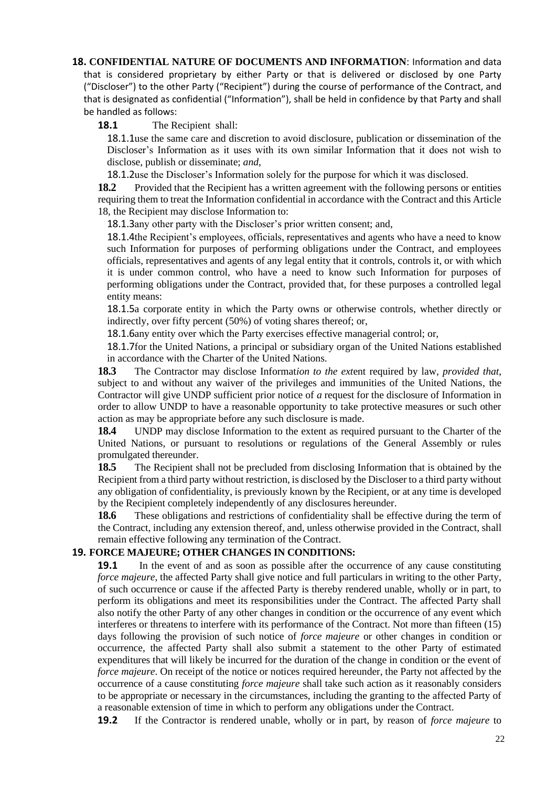## **18. CONFIDENTIAL NATURE OF DOCUMENTS AND INFORMATION**: Information and data that is considered proprietary by either Party or that is delivered or disclosed by one Party ("Discloser") to the other Party ("Recipient") during the course of performance of the Contract, and that is designated as confidential ("Information"), shall be held in confidence by that Party and shall be handled as follows:

**18.1** The Recipient shall:

18.1.1use the same care and discretion to avoid disclosure, publication or dissemination of the Discloser's Information as it uses with its own similar Information that it does not wish to disclose, publish or disseminate; *and*,

18.1.2use the Discloser's Information solely for the purpose for which it was disclosed.

**18.2** Provided that the Recipient has a written agreement with the following persons or entities requiring them to treat the Information confidential in accordance with the Contract and this Article 18, the Recipient may disclose Information to:

18.1.3any other party with the Discloser's prior written consent; and,

18.1.4the Recipient's employees, officials, representatives and agents who have a need to know such Information for purposes of performing obligations under the Contract, and employees officials, representatives and agents of any legal entity that it controls, controls it, or with which it is under common control, who have a need to know such Information for purposes of performing obligations under the Contract, provided that, for these purposes a controlled legal entity means:

18.1.5a corporate entity in which the Party owns or otherwise controls, whether directly or indirectly, over fifty percent (50%) of voting shares thereof; or,

18.1.6any entity over which the Party exercises effective managerial control; or,

18.1.7for the United Nations, a principal or subsidiary organ of the United Nations established in accordance with the Charter of the United Nations.

**18.3** The Contractor may disclose Informat*ion to the ext*ent required by law, *provided that*, subject to and without any waiver of the privileges and immunities of the United Nations, the Contractor will give UNDP sufficient prior notice of *a* request for the disclosure of Information in order to allow UNDP to have a reasonable opportunity to take protective measures or such other action as may be appropriate before any such disclosure is made.

**18.4** UNDP may disclose Information to the extent as required pursuant to the Charter of the United Nations, or pursuant to resolutions or regulations of the General Assembly or rules promulgated thereunder.

**18.5** The Recipient shall not be precluded from disclosing Information that is obtained by the Recipient from a third party without restriction, is disclosed by the Discloser to a third party without any obligation of confidentiality, is previously known by the Recipient, or at any time is developed by the Recipient completely independently of any disclosures hereunder.

18.6 These obligations and restrictions of confidentiality shall be effective during the term of the Contract, including any extension thereof, and, unless otherwise provided in the Contract, shall remain effective following any termination of the Contract.

## **19. FORCE MAJEURE; OTHER CHANGES IN CONDITIONS:**

**19.1** In the event of and as soon as possible after the occurrence of any cause constituting *force majeure*, the affected Party shall give notice and full particulars in writing to the other Party, of such occurrence or cause if the affected Party is thereby rendered unable, wholly or in part, to perform its obligations and meet its responsibilities under the Contract. The affected Party shall also notify the other Party of any other changes in condition or the occurrence of any event which interferes or threatens to interfere with its performance of the Contract. Not more than fifteen (15) days following the provision of such notice of *force majeure* or other changes in condition or occurrence, the affected Party shall also submit a statement to the other Party of estimated expenditures that will likely be incurred for the duration of the change in condition or the event of *force majeure*. On receipt of the notice or notices required hereunder, the Party not affected by the occurrence of a cause constituting *force majeure* shall take such action as it reasonably considers to be appropriate or necessary in the circumstances, including the granting to the affected Party of a reasonable extension of time in which to perform any obligations under the Contract.

**19.2** If the Contractor is rendered unable, wholly or in part, by reason of *force majeure* to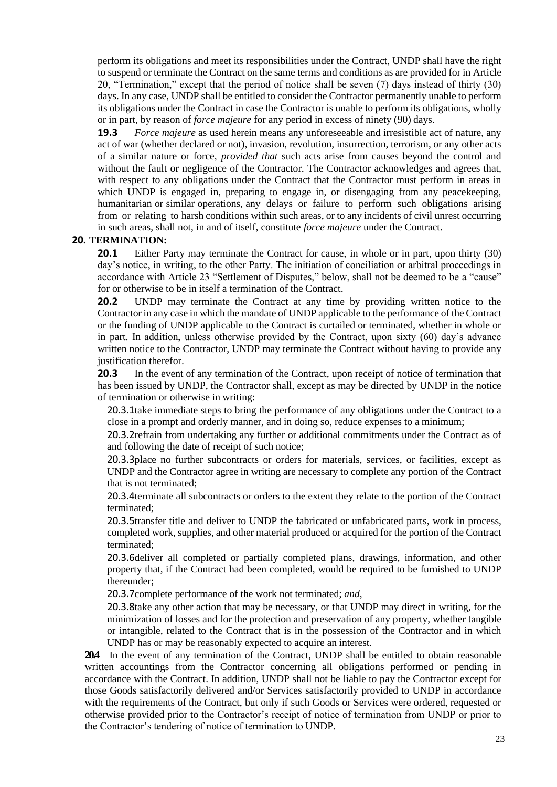perform its obligations and meet its responsibilities under the Contract, UNDP shall have the right to suspend or terminate the Contract on the same terms and conditions as are provided for in Article 20, "Termination," except that the period of notice shall be seven (7) days instead of thirty (30) days. In any case, UNDP shall be entitled to consider the Contractor permanently unable to perform its obligations under the Contract in case the Contractor is unable to perform its obligations, wholly or in part, by reason of *force majeure* for any period in excess of ninety (90) days.

**19.3** *Force majeure* as used herein means any unforeseeable and irresistible act of nature, any act of war (whether declared or not), invasion, revolution, insurrection, terrorism, or any other acts of a similar nature or force, *provided that* such acts arise from causes beyond the control and without the fault or negligence of the Contractor. The Contractor acknowledges and agrees that, with respect to any obligations under the Contract that the Contractor must perform in areas in which UNDP is engaged in, preparing to engage in, or disengaging from any peace keeping, humanitarian or similar operations, any delays or failure to perform such obligations arising from or relating to harsh conditions within such areas, or to any incidents of civil unrest occurring in such areas, shall not, in and of itself, constitute *force majeure* under the Contract.

#### **20. TERMINATION:**

**20.1** Either Party may terminate the Contract for cause, in whole or in part, upon thirty (30) day's notice, in writing, to the other Party. The initiation of conciliation or arbitral proceedings in accordance with Article 23 "Settlement of Disputes," below, shall not be deemed to be a "cause" for or otherwise to be in itself a termination of the Contract.

**20.2** UNDP may terminate the Contract at any time by providing written notice to the Contractor in any case in which the mandate of UNDP applicable to the performance of the Contract or the funding of UNDP applicable to the Contract is curtailed or terminated, whether in whole or in part. In addition, unless otherwise provided by the Contract, upon sixty (60) day's advance written notice to the Contractor, UNDP may terminate the Contract without having to provide any justification therefor.

**20.3** In the event of any termination of the Contract, upon receipt of notice of termination that has been issued by UNDP, the Contractor shall, except as may be directed by UNDP in the notice of termination or otherwise in writing:

20.3.1take immediate steps to bring the performance of any obligations under the Contract to a close in a prompt and orderly manner, and in doing so, reduce expenses to a minimum;

20.3.2refrain from undertaking any further or additional commitments under the Contract as of and following the date of receipt of such notice;

20.3.3place no further subcontracts or orders for materials, services, or facilities, except as UNDP and the Contractor agree in writing are necessary to complete any portion of the Contract that is not terminated;

20.3.4terminate all subcontracts or orders to the extent they relate to the portion of the Contract terminated;

20.3.5transfer title and deliver to UNDP the fabricated or unfabricated parts, work in process, completed work, supplies, and other material produced or acquired for the portion of the Contract terminated;

20.3.6deliver all completed or partially completed plans, drawings, information, and other property that, if the Contract had been completed, would be required to be furnished to UNDP thereunder;

20.3.7complete performance of the work not terminated; *and*,

20.3.8take any other action that may be necessary, or that UNDP may direct in writing, for the minimization of losses and for the protection and preservation of any property, whether tangible or intangible, related to the Contract that is in the possession of the Contractor and in which UNDP has or may be reasonably expected to acquire an interest.

**20.4** In the event of any termination of the Contract, UNDP shall be entitled to obtain reasonable written accountings from the Contractor concerning all obligations performed or pending in accordance with the Contract. In addition, UNDP shall not be liable to pay the Contractor except for those Goods satisfactorily delivered and/or Services satisfactorily provided to UNDP in accordance with the requirements of the Contract, but only if such Goods or Services were ordered, requested or otherwise provided prior to the Contractor's receipt of notice of termination from UNDP or prior to the Contractor's tendering of notice of termination to UNDP.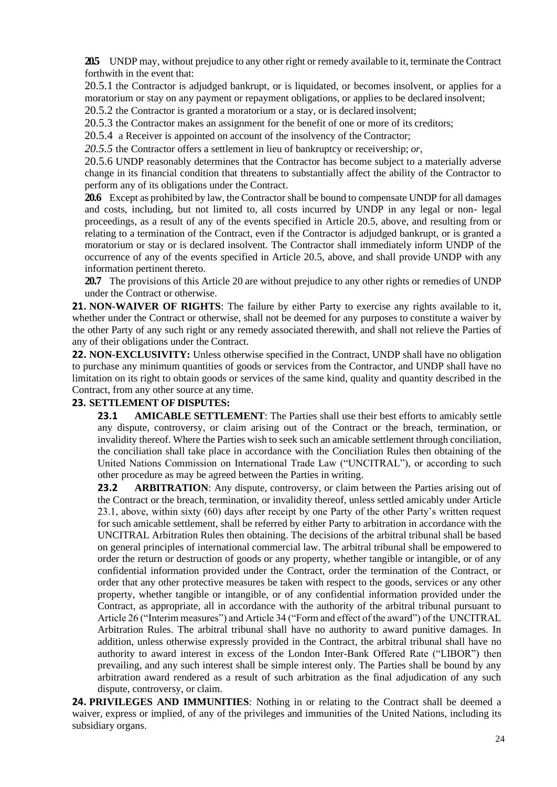**20.5** UNDP may, without prejudice to any other right or remedy available to it, terminate the Contract forthwith in the event that:

20.5.1 the Contractor is adjudged bankrupt, or is liquidated, or becomes insolvent, or applies for a moratorium or stay on any payment or repayment obligations, or applies to be declared insolvent; 20.5.2 the Contractor is granted a moratorium or a stay, or is declared insolvent;

20.5.3 the Contractor makes an assignment for the benefit of one or more of its creditors;

20.5.4 a Receiver is appointed on account of the insolvency of the Contractor;

*20.5.5* the Contractor offers a settlement in lieu of bankruptcy or receivership; *or,*

20.5.6 UNDP reasonably determines that the Contractor has become subject to a materially adverse change in its financial condition that threatens to substantially affect the ability of the Contractor to perform any of its obligations under the Contract.

**20.6** Except as prohibited by law, the Contractor shall be bound to compensate UNDP for all damages and costs, including, but not limited to, all costs incurred by UNDP in any legal or non- legal proceedings, as a result of any of the events specified in Article 20.5, above, and resulting from or relating to a termination of the Contract, even if the Contractor is adjudged bankrupt, or is granted a moratorium or stay or is declared insolvent. The Contractor shall immediately inform UNDP of the occurrence of any of the events specified in Article 20.5, above, and shall provide UNDP with any information pertinent thereto.

**20.7** The provisions of this Article 20 are without prejudice to any other rights or remedies of UNDP under the Contract or otherwise.

**21. NON-WAIVER OF RIGHTS**: The failure by either Party to exercise any rights available to it, whether under the Contract or otherwise, shall not be deemed for any purposes to constitute a waiver by the other Party of any such right or any remedy associated therewith, and shall not relieve the Parties of any of their obligations under the Contract.

**22. NON-EXCLUSIVITY:** Unless otherwise specified in the Contract, UNDP shall have no obligation to purchase any minimum quantities of goods or services from the Contractor, and UNDP shall have no limitation on its right to obtain goods or services of the same kind, quality and quantity described in the Contract, from any other source at any time.

#### **23. SETTLEMENT OF DISPUTES:**

**23.1 AMICABLE SETTLEMENT**: The Parties shall use their best efforts to amicably settle any dispute, controversy, or claim arising out of the Contract or the breach, termination, or invalidity thereof. Where the Parties wish to seek such an amicable settlement through conciliation, the conciliation shall take place in accordance with the Conciliation Rules then obtaining of the United Nations Commission on International Trade Law ("UNCITRAL"), or according to such other procedure as may be agreed between the Parties in writing.

**23.2 ARBITRATION**: Any dispute, controversy, or claim between the Parties arising out of the Contract or the breach, termination, or invalidity thereof, unless settled amicably under Article 23.1, above, within sixty (60) days after receipt by one Party of the other Party's written request for such amicable settlement, shall be referred by either Party to arbitration in accordance with the UNCITRAL Arbitration Rules then obtaining. The decisions of the arbitral tribunal shall be based on general principles of international commercial law. The arbitral tribunal shall be empowered to order the return or destruction of goods or any property, whether tangible or intangible, or of any confidential information provided under the Contract, order the termination of the Contract, or order that any other protective measures be taken with respect to the goods, services or any other property, whether tangible or intangible, or of any confidential information provided under the Contract, as appropriate, all in accordance with the authority of the arbitral tribunal pursuant to Article 26 ("Interim measures") and Article 34 ("Form and effect of the award") of the UNCITRAL Arbitration Rules. The arbitral tribunal shall have no authority to award punitive damages. In addition, unless otherwise expressly provided in the Contract, the arbitral tribunal shall have no authority to award interest in excess of the London Inter-Bank Offered Rate ("LIBOR") then prevailing, and any such interest shall be simple interest only. The Parties shall be bound by any arbitration award rendered as a result of such arbitration as the final adjudication of any such dispute, controversy, or claim.

**24. PRIVILEGES AND IMMUNITIES**: Nothing in or relating to the Contract shall be deemed a waiver, express or implied, of any of the privileges and immunities of the United Nations, including its subsidiary organs.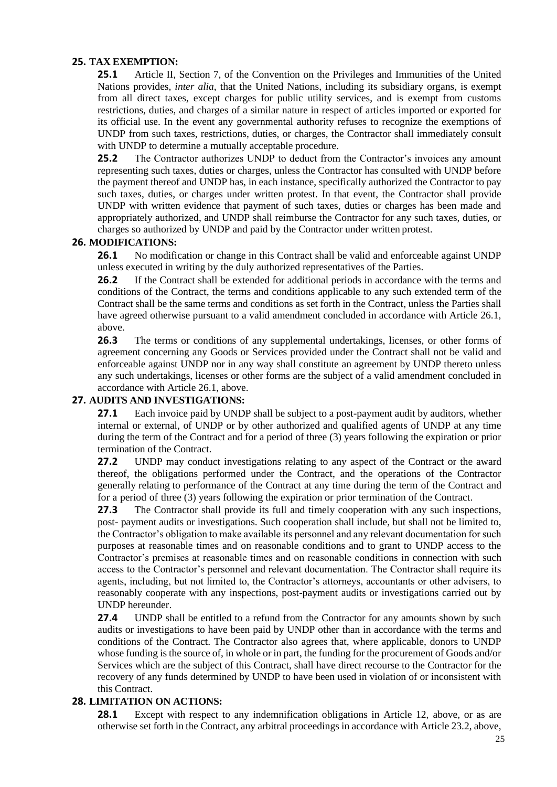## **25. TAX EXEMPTION:**

**25.1** Article II, Section 7, of the Convention on the Privileges and Immunities of the United Nations provides, *inter alia*, that the United Nations, including its subsidiary organs, is exempt from all direct taxes, except charges for public utility services, and is exempt from customs restrictions, duties, and charges of a similar nature in respect of articles imported or exported for its official use. In the event any governmental authority refuses to recognize the exemptions of UNDP from such taxes, restrictions, duties, or charges, the Contractor shall immediately consult with UNDP to determine a mutually acceptable procedure.

25.2 The Contractor authorizes UNDP to deduct from the Contractor's invoices any amount representing such taxes, duties or charges, unless the Contractor has consulted with UNDP before the payment thereof and UNDP has, in each instance, specifically authorized the Contractor to pay such taxes, duties, or charges under written protest. In that event, the Contractor shall provide UNDP with written evidence that payment of such taxes, duties or charges has been made and appropriately authorized, and UNDP shall reimburse the Contractor for any such taxes, duties, or charges so authorized by UNDP and paid by the Contractor under written protest.

## **26. MODIFICATIONS:**

**26.1** No modification or change in this Contract shall be valid and enforceable against UNDP unless executed in writing by the duly authorized representatives of the Parties.

**26.2** If the Contract shall be extended for additional periods in accordance with the terms and conditions of the Contract, the terms and conditions applicable to any such extended term of the Contract shall be the same terms and conditions as set forth in the Contract, unless the Parties shall have agreed otherwise pursuant to a valid amendment concluded in accordance with Article 26.1, above.

26.3 The terms or conditions of any supplemental undertakings, licenses, or other forms of agreement concerning any Goods or Services provided under the Contract shall not be valid and enforceable against UNDP nor in any way shall constitute an agreement by UNDP thereto unless any such undertakings, licenses or other forms are the subject of a valid amendment concluded in accordance with Article 26.1, above.

## **27. AUDITS AND INVESTIGATIONS:**

**27.1** Each invoice paid by UNDP shall be subject to a post-payment audit by auditors, whether internal or external, of UNDP or by other authorized and qualified agents of UNDP at any time during the term of the Contract and for a period of three (3) years following the expiration or prior termination of the Contract.

**27.2** UNDP may conduct investigations relating to any aspect of the Contract or the award thereof, the obligations performed under the Contract, and the operations of the Contractor generally relating to performance of the Contract at any time during the term of the Contract and for a period of three (3) years following the expiration or prior termination of the Contract.

**27.3** The Contractor shall provide its full and timely cooperation with any such inspections, post- payment audits or investigations. Such cooperation shall include, but shall not be limited to, the Contractor's obligation to make available its personnel and any relevant documentation for such purposes at reasonable times and on reasonable conditions and to grant to UNDP access to the Contractor's premises at reasonable times and on reasonable conditions in connection with such access to the Contractor's personnel and relevant documentation. The Contractor shall require its agents, including, but not limited to, the Contractor's attorneys, accountants or other advisers, to reasonably cooperate with any inspections, post-payment audits or investigations carried out by UNDP hereunder.

**27.4** UNDP shall be entitled to a refund from the Contractor for any amounts shown by such audits or investigations to have been paid by UNDP other than in accordance with the terms and conditions of the Contract. The Contractor also agrees that, where applicable, donors to UNDP whose funding is the source of, in whole or in part, the funding for the procurement of Goods and/or Services which are the subject of this Contract, shall have direct recourse to the Contractor for the recovery of any funds determined by UNDP to have been used in violation of or inconsistent with this Contract.

## **28. LIMITATION ON ACTIONS:**

**28.1** Except with respect to any indemnification obligations in Article 12, above, or as are otherwise set forth in the Contract, any arbitral proceedings in accordance with Article 23.2, above,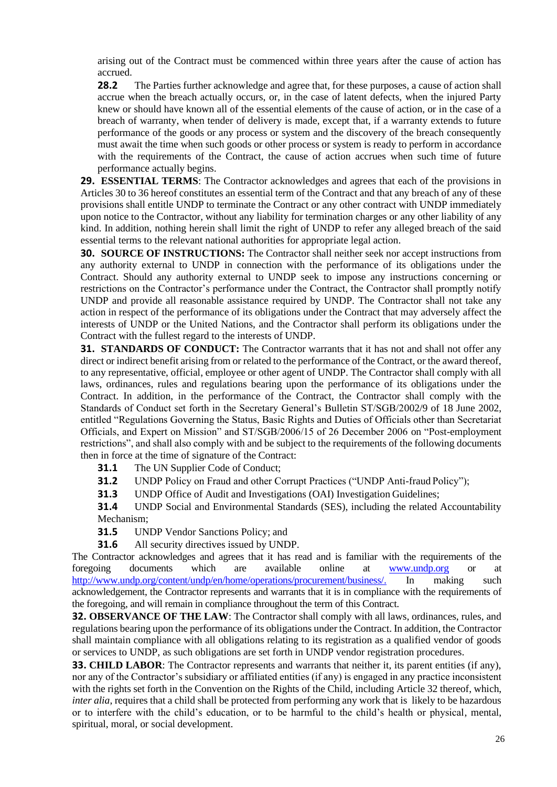arising out of the Contract must be commenced within three years after the cause of action has accrued.

**28.2** The Parties further acknowledge and agree that, for these purposes, a cause of action shall accrue when the breach actually occurs, or, in the case of latent defects, when the injured Party knew or should have known all of the essential elements of the cause of action, or in the case of a breach of warranty, when tender of delivery is made, except that, if a warranty extends to future performance of the goods or any process or system and the discovery of the breach consequently must await the time when such goods or other process or system is ready to perform in accordance with the requirements of the Contract, the cause of action accrues when such time of future performance actually begins.

**29. ESSENTIAL TERMS**: The Contractor acknowledges and agrees that each of the provisions in Articles 30 to 36 hereof constitutes an essential term of the Contract and that any breach of any of these provisions shall entitle UNDP to terminate the Contract or any other contract with UNDP immediately upon notice to the Contractor, without any liability for termination charges or any other liability of any kind. In addition, nothing herein shall limit the right of UNDP to refer any alleged breach of the said essential terms to the relevant national authorities for appropriate legal action.

**30. SOURCE OF INSTRUCTIONS:** The Contractor shall neither seek nor accept instructions from any authority external to UNDP in connection with the performance of its obligations under the Contract. Should any authority external to UNDP seek to impose any instructions concerning or restrictions on the Contractor's performance under the Contract, the Contractor shall promptly notify UNDP and provide all reasonable assistance required by UNDP. The Contractor shall not take any action in respect of the performance of its obligations under the Contract that may adversely affect the interests of UNDP or the United Nations, and the Contractor shall perform its obligations under the Contract with the fullest regard to the interests of UNDP.

**31. STANDARDS OF CONDUCT:** The Contractor warrants that it has not and shall not offer any direct or indirect benefit arising from or related to the performance of the Contract, or the award thereof, to any representative, official, employee or other agent of UNDP. The Contractor shall comply with all laws, ordinances, rules and regulations bearing upon the performance of its obligations under the Contract. In addition, in the performance of the Contract, the Contractor shall comply with the Standards of Conduct set forth in the Secretary General's Bulletin ST/SGB/2002/9 of 18 June 2002, entitled "Regulations Governing the Status, Basic Rights and Duties of Officials other than Secretariat Officials, and Expert on Mission" and ST/SGB/2006/15 of 26 December 2006 on "Post-employment restrictions", and shall also comply with and be subject to the requirements of the following documents then in force at the time of signature of the Contract:

**31.1** The UN Supplier Code of Conduct;

**31.2** UNDP Policy on Fraud and other Corrupt Practices ("UNDP Anti-fraud Policy");

**31.3** UNDP Office of Audit and Investigations (OAI) Investigation Guidelines;

**31.4** UNDP Social and Environmental Standards (SES), including the related Accountability Mechanism;

**31.5** UNDP Vendor Sanctions Policy; and

**31.6** All security directives issued by UNDP.

The Contractor acknowledges and agrees that it has read and is familiar with the requirements of the foregoing documents which are available online at [www.undp.org](http://www.undp.org/) or at [http://www.undp.org/content/undp/en/home/operations/procurement/business/.](http://www.undp.org/content/undp/en/home/operations/procurement/business/) In making such acknowledgement, the Contractor represents and warrants that it is in compliance with the requirements of the foregoing, and will remain in compliance throughout the term of this Contract.

**32. OBSERVANCE OF THE LAW**: The Contractor shall comply with all laws, ordinances, rules, and regulations bearing upon the performance of its obligations under the Contract. In addition, the Contractor shall maintain compliance with all obligations relating to its registration as a qualified vendor of goods or services to UNDP, as such obligations are set forth in UNDP vendor registration procedures.

**33. CHILD LABOR**: The Contractor represents and warrants that neither it, its parent entities (if any), nor any of the Contractor's subsidiary or affiliated entities (if any) is engaged in any practice inconsistent with the rights set forth in the Convention on the Rights of the Child, including Article 32 thereof, which, *inter alia*, requires that a child shall be protected from performing any work that is likely to be hazardous or to interfere with the child's education, or to be harmful to the child's health or physical, mental, spiritual, moral, or social development.